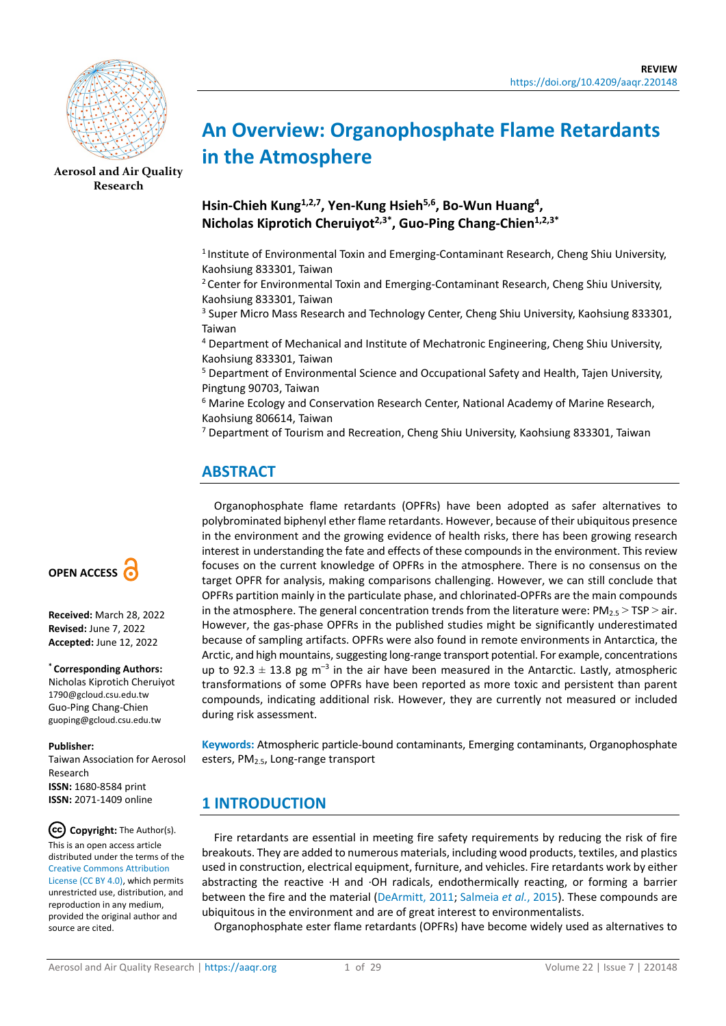

**[Aerosol and Air Quality](https://aaqr.org/)  [Research](https://aaqr.org/)**

# **An Overview: Organophosphate Flame Retardants in the Atmosphere**

**Hsin-Chieh Kung1,2,7, Yen-Kung Hsieh5,6, Bo-Wun Huang4, Nicholas Kiprotich Cheruiyot2,3\*, Guo-Ping Chang-Chien1,2,3\***

<sup>1</sup> Institute of Environmental Toxin and Emerging-Contaminant Research, Cheng Shiu University, Kaohsiung 833301, Taiwan

 $2$  Center for Environmental Toxin and Emerging-Contaminant Research, Cheng Shiu University, Kaohsiung 833301, Taiwan

<sup>3</sup> Super Micro Mass Research and Technology Center, Cheng Shiu University, Kaohsiung 833301, Taiwan

<sup>4</sup> Department of Mechanical and Institute of Mechatronic Engineering, Cheng Shiu University, Kaohsiung 833301, Taiwan

<sup>5</sup> Department of Environmental Science and Occupational Safety and Health, Tajen University, Pingtung 90703, Taiwan

<sup>6</sup> Marine Ecology and Conservation Research Center, National Academy of Marine Research, Kaohsiung 806614, Taiwan

<sup>7</sup> Department of Tourism and Recreation, Cheng Shiu University, Kaohsiung 833301, Taiwan

# **ABSTRACT**

Organophosphate flame retardants (OPFRs) have been adopted as safer alternatives to polybrominated biphenyl ether flame retardants. However, because of their ubiquitous presence in the environment and the growing evidence of health risks, there has been growing research interest in understanding the fate and effects of these compounds in the environment. This review focuses on the current knowledge of OPFRs in the atmosphere. There is no consensus on the target OPFR for analysis, making comparisons challenging. However, we can still conclude that OPFRs partition mainly in the particulate phase, and chlorinated-OPFRs are the main compounds in the atmosphere. The general concentration trends from the literature were:  $PM_{2.5}$  > TSP > air. However, the gas-phase OPFRs in the published studies might be significantly underestimated because of sampling artifacts. OPFRs were also found in remote environments in Antarctica, the Arctic, and high mountains, suggesting long-range transport potential. For example, concentrations up to 92.3  $\pm$  13.8 pg m<sup>-3</sup> in the air have been measured in the Antarctic. Lastly, atmospheric transformations of some OPFRs have been reported as more toxic and persistent than parent compounds, indicating additional risk. However, they are currently not measured or included during risk assessment.

**Keywords:** Atmospheric particle-bound contaminants, Emerging contaminants, Organophosphate esters, PM2.5, Long-range transport

# **1 INTRODUCTION**

Fire retardants are essential in meeting fire safety requirements by reducing the risk of fire breakouts. They are added to numerous materials, including wood products, textiles, and plastics used in construction, electrical equipment, furniture, and vehicles. Fire retardants work by either abstracting the reactive ·H and ·OH radicals, endothermically reacting, or forming a barrier between the fire and the material [\(DeArmitt, 2011;](#page-21-0) [Salmeia](#page-25-0) *et al.*, 2015). These compounds are ubiquitous in the environment and are of great interest to environmentalists.

Organophosphate ester flame retardants (OPFRs) have become widely used as alternatives to



**Received:** March 28, 2022 **Revised:** June 7, 2022 **Accepted:** June 12, 2022

#### **\* Corresponding Authors:**

Nicholas Kiprotich Cheruiyot 1790@gcloud.csu.edu.tw Guo-Ping Chang-Chien guoping@gcloud.csu.edu.tw

#### **Publisher:**

Taiwan Association for Aerosol Research **ISSN:** 1680-8584 print **ISSN:** 2071-1409 online

 $(cc)$ **Copyright:** The Author(s). This is an open access article distributed under the terms of the [Creative Commons Attribution](https://creativecommons.org/licenses/by/4.0/)  [License \(CC BY 4.0\),](https://creativecommons.org/licenses/by/4.0/) which permits unrestricted use, distribution, and reproduction in any medium, provided the original author and source are cited.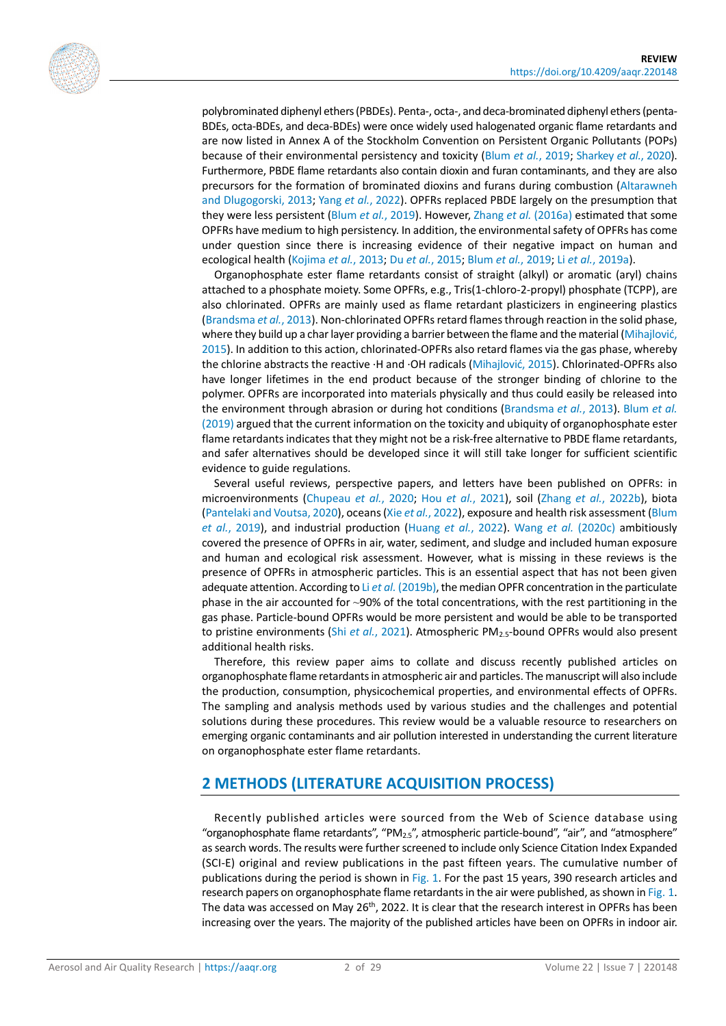

polybrominated diphenyl ethers (PBDEs). Penta-, octa-, and deca-brominated diphenyl ethers (penta-BDEs, octa-BDEs, and deca-BDEs) were once widely used halogenated organic flame retardants and are now listed in Annex A of the Stockholm Convention on Persistent Organic Pollutants (POPs) because of their environmental persistency and toxicity (Blum *et al.*[, 2019;](#page-20-0) [Sharkey](#page-25-1) *et al.*, 2020). Furthermore, PBDE flame retardants also contain dioxin and furan contaminants, and they are also precursors for the formation of brominated dioxins and furans during combustion [\(Altarawneh](#page-20-1)  [and Dlugogorski, 2013;](#page-20-1) Yang *et al.*[, 2022\)](#page-27-0). OPFRs replaced PBDE largely on the presumption that they were less persistent (Blum *et al.*[, 2019\)](#page-20-0). However, Zhang *et al.* [\(2016a\)](#page-28-0) estimated that some OPFRs have medium to high persistency. In addition, the environmental safety of OPFRs has come under question since there is increasing evidence of their negative impact on human and ecological health [\(Kojima](#page-22-0) *et al.*, 2013; Du *et al.*[, 2015;](#page-21-1) Blum *et al.*[, 2019;](#page-20-0) Li *et al.*[, 2019a\)](#page-23-0).

Organophosphate ester flame retardants consist of straight (alkyl) or aromatic (aryl) chains attached to a phosphate moiety. Some OPFRs, e.g., Tris(1-chloro-2-propyl) phosphate (TCPP), are also chlorinated. OPFRs are mainly used as flame retardant plasticizers in engineering plastics [\(Brandsma](#page-20-2) *et al.*, 2013). Non-chlorinated OPFRs retard flames through reaction in the solid phase, where they build up a char layer providing a barrier between the flame and the material ([Mihajlović](#page-24-0), [2015\)](#page-24-0). In addition to this action, chlorinated-OPFRs also retard flames via the gas phase, whereby the chlorine abstracts the reactive ·H and ·OH radicals ([Mihajlović](#page-24-0), 2015). Chlorinated-OPFRs also have longer lifetimes in the end product because of the stronger binding of chlorine to the polymer. OPFRs are incorporated into materials physically and thus could easily be released into the environment through abrasion or during hot conditions [\(Brandsma](#page-20-2) *et al.*, 2013). [Blum](#page-20-0) *et al.* [\(2019\)](#page-20-0) argued that the current information on the toxicity and ubiquity of organophosphate ester flame retardants indicates that they might not be a risk-free alternative to PBDE flame retardants, and safer alternatives should be developed since it will still take longer for sufficient scientific evidence to guide regulations.

Several useful reviews, perspective papers, and letters have been published on OPFRs: in microenvironments [\(Chupeau](#page-21-2) *et al.*, 2020; Hou *et al.*[, 2021\)](#page-22-1), soil (Zhang *et al.*[, 2022b\)](#page-27-1), biota [\(Pantelaki and Voutsa, 2020\)](#page-24-1), oceans (Xie *et al.*[, 2022\)](#page-27-2), exposure and health risk assessment [\(Blum](#page-20-0)  *et al.*[, 2019\)](#page-20-0), and industrial production [\(Huang](#page-22-2) *et al.*, 2022). Wang *et al.* [\(2020c\)](#page-26-0) ambitiously covered the presence of OPFRs in air, water, sediment, and sludge and included human exposure and human and ecological risk assessment. However, what is missing in these reviews is the presence of OPFRs in atmospheric particles. This is an essential aspect that has not been given adequate attention. According to Li *et al.* [\(2019b\),](#page-23-1) the median OPFR concentration in the particulate phase in the air accounted for ~90% of the total concentrations, with the rest partitioning in the gas phase. Particle-bound OPFRs would be more persistent and would be able to be transported to pristine environments (Shi *et al.*[, 2021\)](#page-25-2). Atmospheric PM2.5-bound OPFRs would also present additional health risks.

Therefore, this review paper aims to collate and discuss recently published articles on organophosphate flame retardants in atmospheric air and particles. The manuscript will also include the production, consumption, physicochemical properties, and environmental effects of OPFRs. The sampling and analysis methods used by various studies and the challenges and potential solutions during these procedures. This review would be a valuable resource to researchers on emerging organic contaminants and air pollution interested in understanding the current literature on organophosphate ester flame retardants.

# **2 METHODS (LITERATURE ACQUISITION PROCESS)**

Recently published articles were sourced from the Web of Science database using "organophosphate flame retardants", "PM<sub>2.5</sub>", atmospheric particle-bound", "air", and "atmosphere" as search words. The results were further screened to include only Science Citation Index Expanded (SCI-E) original and review publications in the past fifteen years. The cumulative number of publications during the period is shown in [Fig. 1.](#page-2-0) For the past 15 years, 390 research articles and research papers on organophosphate flame retardants in the air were published, as shown i[n Fig.](#page-2-0) 1. The data was accessed on May 26<sup>th</sup>, 2022. It is clear that the research interest in OPFRs has been increasing over the years. The majority of the published articles have been on OPFRs in indoor air.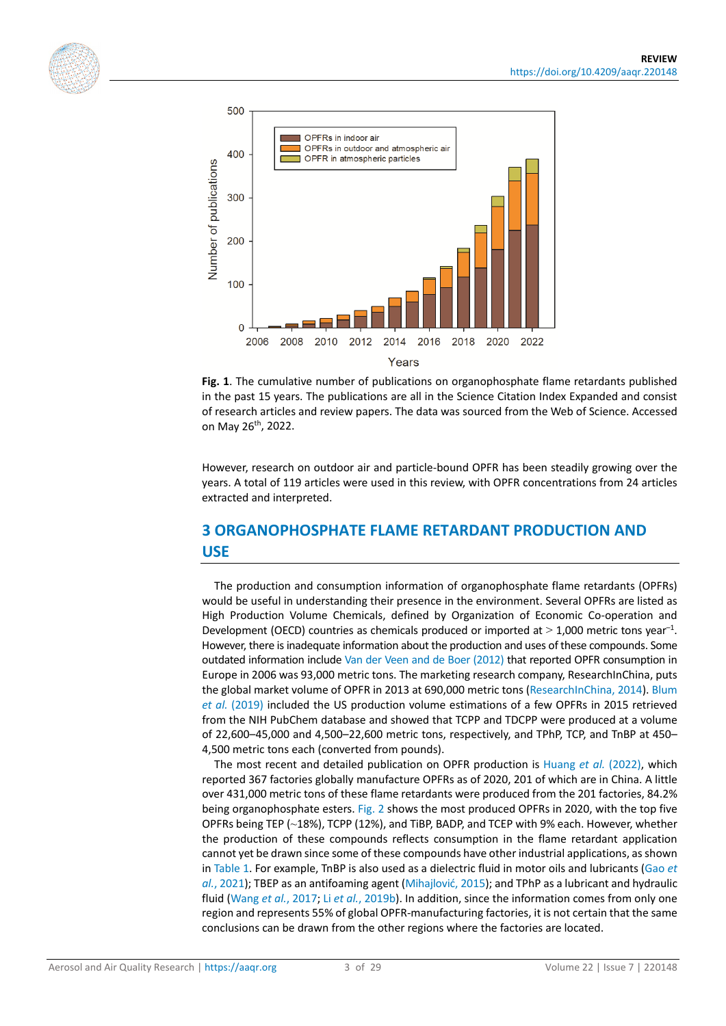<span id="page-2-0"></span>



**Fig. 1**. The cumulative number of publications on organophosphate flame retardants published in the past 15 years. The publications are all in the Science Citation Index Expanded and consist of research articles and review papers. The data was sourced from the Web of Science. Accessed on May 26th, 2022.

However, research on outdoor air and particle-bound OPFR has been steadily growing over the years. A total of 119 articles were used in this review, with OPFR concentrations from 24 articles extracted and interpreted.

# **3 ORGANOPHOSPHATE FLAME RETARDANT PRODUCTION AND USE**

The production and consumption information of organophosphate flame retardants (OPFRs) would be useful in understanding their presence in the environment. Several OPFRs are listed as High Production Volume Chemicals, defined by Organization of Economic Co-operation and Development (OECD) countries as chemicals produced or imported at  $>$  1,000 metric tons year<sup>-1</sup>. However, there is inadequate information about the production and uses of these compounds. Some outdated information include [Van der Veen and de Boer \(2012\)](#page-26-1) that reported OPFR consumption in Europe in 2006 was 93,000 metric tons. The marketing research company, ResearchInChina, puts the global market volume of OPFR in 2013 at 690,000 metric tons [\(ResearchInChina, 2014\)](#page-25-3). Blum *et al.* [\(2019\)](#page-20-0) included the US production volume estimations of a few OPFRs in 2015 retrieved from the NIH PubChem database and showed that TCPP and TDCPP were produced at a volume of 22,600–45,000 and 4,500–22,600 metric tons, respectively, and TPhP, TCP, and TnBP at 450– 4,500 metric tons each (converted from pounds).

The most recent and detailed publication on OPFR production is [Huang](#page-22-2) *et al.* (2022), which reported 367 factories globally manufacture OPFRs as of 2020, 201 of which are in China. A little over 431,000 metric tons of these flame retardants were produced from the 201 factories, 84.2% being organophosphate esters[. Fig.](#page-3-0) 2 shows the most produced OPFRs in 2020, with the top five OPFRs being TEP (~18%), TCPP (12%), and TiBP, BADP, and TCEP with 9% each. However, whether the production of these compounds reflects consumption in the flame retardant application cannot yet be drawn since some of these compounds have other industrial applications, as shown in Table 1. For example, TnBP is also used as a dielectric fluid in motor oils and lubricants [\(Gao](#page-22-3) *et al.*[, 2021\)](#page-22-3); TBEP as an antifoaming agent ([Mihajlović](#page-24-0), 2015); and TPhP as a lubricant and hydraulic fluid [\(Wang](#page-26-2) *et al.*, 2017; Li *et al.*[, 2019b\)](#page-23-1). In addition, since the information comes from only one region and represents 55% of global OPFR-manufacturing factories, it is not certain that the same conclusions can be drawn from the other regions where the factories are located.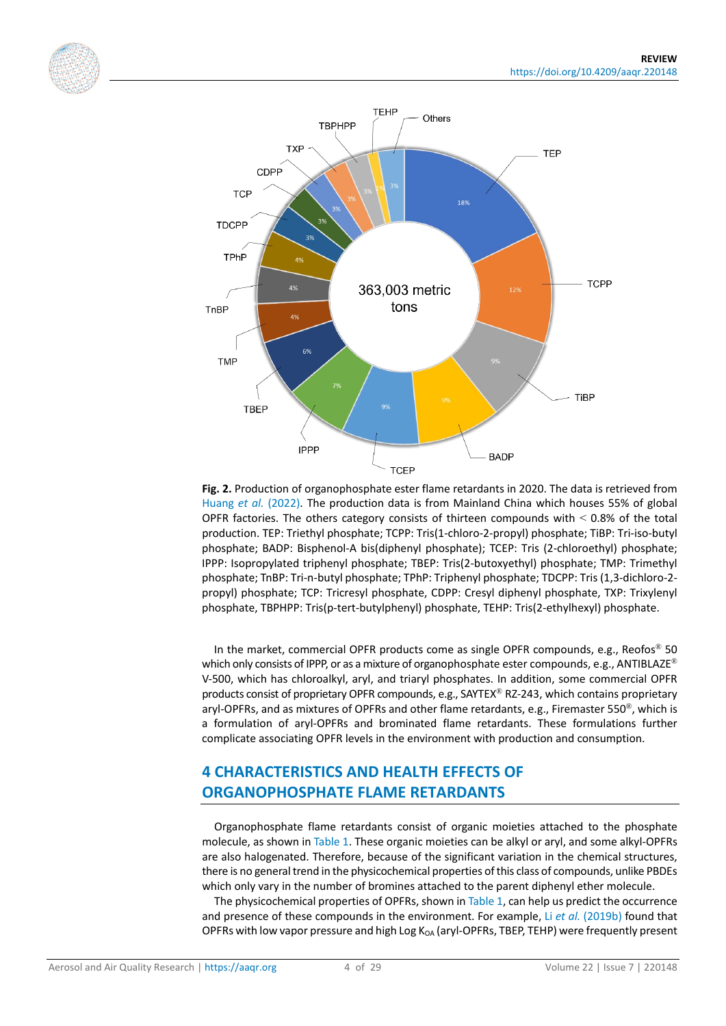<span id="page-3-0"></span>



**Fig. 2.** Production of organophosphate ester flame retardants in 2020. The data is retrieved from [Huang](#page-22-2) *et al.* (2022). The production data is from Mainland China which houses 55% of global OPFR factories. The others category consists of thirteen compounds with  $\leq$  0.8% of the total production. TEP: Triethyl phosphate; TCPP: Tris(1-chloro-2-propyl) phosphate; TiBP: Tri-iso-butyl phosphate; BADP: Bisphenol-A bis(diphenyl phosphate); TCEP: Tris (2-chloroethyl) phosphate; IPPP: Isopropylated triphenyl phosphate; TBEP: Tris(2-butoxyethyl) phosphate; TMP: Trimethyl phosphate; TnBP: Tri-n-butyl phosphate; TPhP: Triphenyl phosphate; TDCPP: Tris (1,3-dichloro-2 propyl) phosphate; TCP: Tricresyl phosphate, CDPP: Cresyl diphenyl phosphate, TXP: Trixylenyl phosphate, TBPHPP: Tris(p-tert-butylphenyl) phosphate, TEHP: Tris(2-ethylhexyl) phosphate.

In the market, commercial OPFR products come as single OPFR compounds, e.g., Reofos<sup>®</sup> 50 which only consists of IPPP, or as a mixture of organophosphate ester compounds, e.g., ANTIBLAZE<sup>®</sup> V-500, which has chloroalkyl, aryl, and triaryl phosphates. In addition, some commercial OPFR products consist of proprietary OPFR compounds, e.g., SAYTEX® RZ-243, which contains proprietary aryl-OPFRs, and as mixtures of OPFRs and other flame retardants, e.g., Firemaster 550 $^{\circledast}$ , which is a formulation of aryl-OPFRs and brominated flame retardants. These formulations further complicate associating OPFR levels in the environment with production and consumption.

# **4 CHARACTERISTICS AND HEALTH EFFECTS OF ORGANOPHOSPHATE FLAME RETARDANTS**

Organophosphate flame retardants consist of organic moieties attached to the phosphate molecule, as shown in Table 1. These organic moieties can be alkyl or aryl, and some alkyl-OPFRs are also halogenated. Therefore, because of the significant variation in the chemical structures, there is no general trend in the physicochemical properties of this class of compounds, unlike PBDEs which only vary in the number of bromines attached to the parent diphenyl ether molecule.

The physicochemical properties of OPFRs, shown in Table 1, can help us predict the occurrence and presence of these compounds in the environment. For example, Li *et al.* [\(2019b\)](#page-23-1) found that OPFRs with low vapor pressure and high Log  $K_{OA}$  (aryl-OPFRs, TBEP, TEHP) were frequently present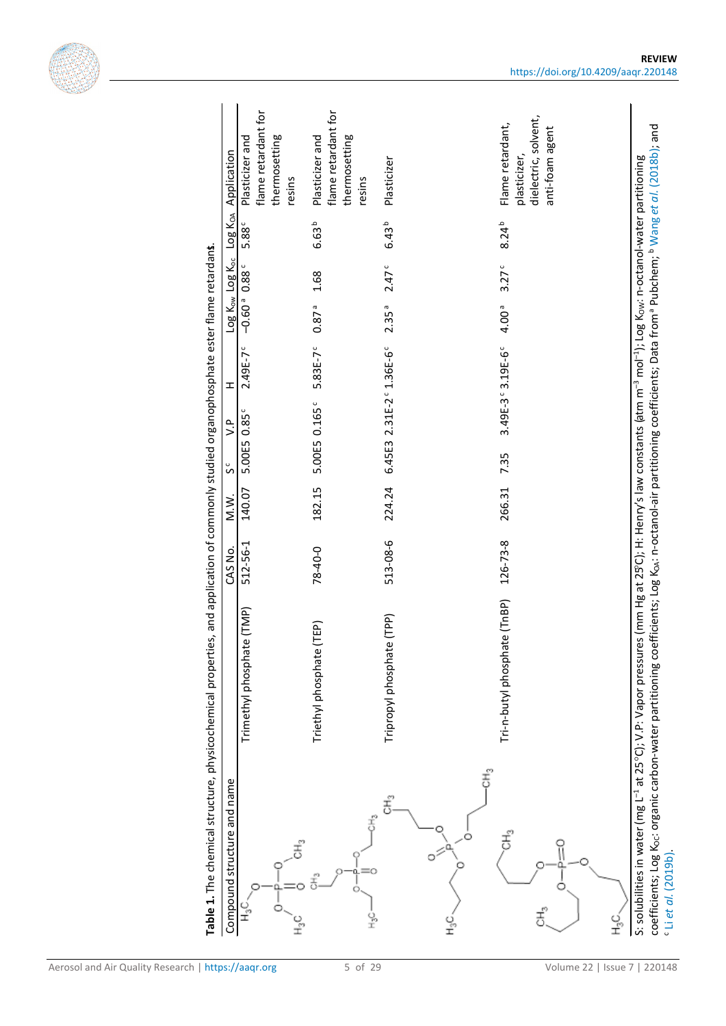

| Compound structure and name |                              | CAS No.  | M.W.   | $\sum_{i=1}^{n}$<br>S    | $\pm$            | Log Kow Log Koc             | Log KoA                   | Application                                                                 |
|-----------------------------|------------------------------|----------|--------|--------------------------|------------------|-----------------------------|---------------------------|-----------------------------------------------------------------------------|
| v<br>±                      | (TMP)<br>Trimethyl phosphate | 512-56-1 | 140.07 | 5.00E5 0.85°             | $2.49E - 7c$     | $-0.60$ <sup>a</sup> 0.88 c | 5.88 <sup>c</sup>         | flame retardant for<br>thermosetting<br>Plasticizer and<br>resins           |
|                             | ΈP)<br>Triethyl phosphate (T | 78-40-0  | 182.15 | 5.00E5 0.165°            | 5.83E-7°         | 0.87 <sup>a</sup>           | 6.63 <sup>b</sup><br>1.68 | flame retardant for<br>thermosetting<br>Plasticizer and<br>resins           |
| $\tilde{\Xi}^2$             | Tripropyl phosphate (TPP)    | 513-08-6 | 224.24 | 6.45E3 2.31E-2° 1.36E-6° |                  | 2.35a                       | $6.43^{b}$<br>2.47        | Plasticizer                                                                 |
| y<br>I                      | Tri-n-butyl phosphate (TnBP) | 126-73-8 | 266.31 | 7.35                     | 3.49E-3°3.19E-6° | 4.00 <sup>a</sup>           | $8.24^{b}$<br>3.27c       | dielectric, solvent,<br>Flame retardant,<br>anti-foam agent<br>plasticizer, |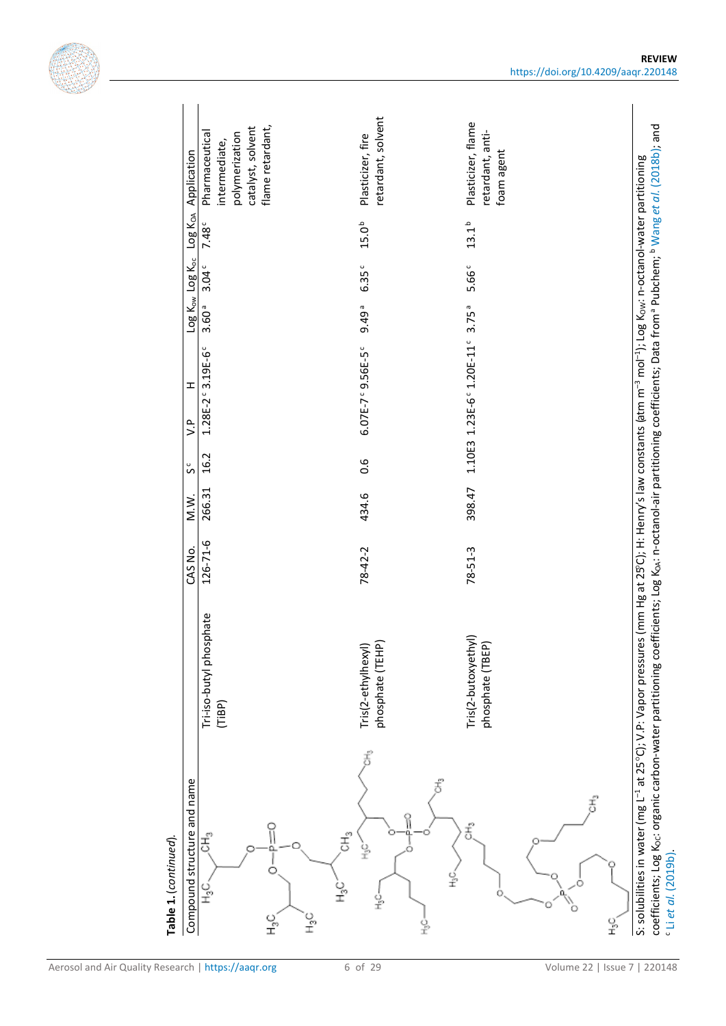| Table 1. (continued).                                                                                                                                                                                                                                                                                                                                                                                                     |                                         |               |        |        |                           |                   |                         |                   |                                                                        |
|---------------------------------------------------------------------------------------------------------------------------------------------------------------------------------------------------------------------------------------------------------------------------------------------------------------------------------------------------------------------------------------------------------------------------|-----------------------------------------|---------------|--------|--------|---------------------------|-------------------|-------------------------|-------------------|------------------------------------------------------------------------|
| Compound structure and name                                                                                                                                                                                                                                                                                                                                                                                               |                                         | CAS No.       | M.W.   | s<br>S | H<br>۹.                   |                   | Log Kow Log Koc Log KoA |                   | Application                                                            |
| Ξ,<br>ι<br>Ξ                                                                                                                                                                                                                                                                                                                                                                                                              | Tri-iso-butyl phosphate<br>(TIBP)       | 126-71-6      | 266.31 | 16.2   | 1.28E-2°3.19E-6°          | 3.60 <sup>a</sup> | 3.04 <sup>c</sup>       | 7.48              | catalyst, solvent<br>Pharmaceutical<br>polymerization<br>intermediate, |
| °⊾<br>≎<br>ں<br>±<br>ι<br>Τ                                                                                                                                                                                                                                                                                                                                                                                               |                                         |               |        |        |                           |                   |                         |                   | flame retardant,                                                       |
| ť<br>£"<br>웊<br>웊                                                                                                                                                                                                                                                                                                                                                                                                         | phosphate (TEHP)<br>Tris(2-ethylhexyl)  | $78 - 42 - 2$ | 434.6  | 0.6    | 6.07E-7° 9.56E-5°         | 9.49 <sup>a</sup> | 6.35 <sup>c</sup>       | 15.0 <sup>b</sup> | retardant, solvent<br>Plasticizer, fire                                |
| $\stackrel{p}{\overline{\mathbb{C}}}$<br>ř<br>읖                                                                                                                                                                                                                                                                                                                                                                           | Tris(2-butoxyethyl)<br>phosphate (TBEP) | $78 - 51 - 3$ | 398.47 |        | 1.10E3 1.23E-6° 1.20E-11° | 3.75a             | 5.66 <sup>c</sup>       | $13.1^{b}$        | Plasticizer, flame<br>retardant, anti-<br>foam agent                   |
| $\tilde{\overline{5}}$                                                                                                                                                                                                                                                                                                                                                                                                    |                                         |               |        |        |                           |                   |                         |                   |                                                                        |
| o<br>I                                                                                                                                                                                                                                                                                                                                                                                                                    |                                         |               |        |        |                           |                   |                         |                   |                                                                        |
| coefficients; Log Koc: organic carbon-water partitioning coefficients; Log KoA: n-octanol-air partitioning coefficients; Data from a Pubchem; b Wang et al. (2018b); and<br>S: solubilities in water (mg L <sup>-1</sup> at 25°C); V.P: Vapor pressures (mm Hg at 25°C); H: Henry's law constants (atm m <sup>-3</sup> mol <sup>-1</sup> ); Log K <sub>ow</sub> : n-octanol-water partitioning<br>$c$ Li et al. $(2019b)$ |                                         |               |        |        |                           |                   |                         |                   |                                                                        |

Aerosol and Air Quality Research | https://aaqr.org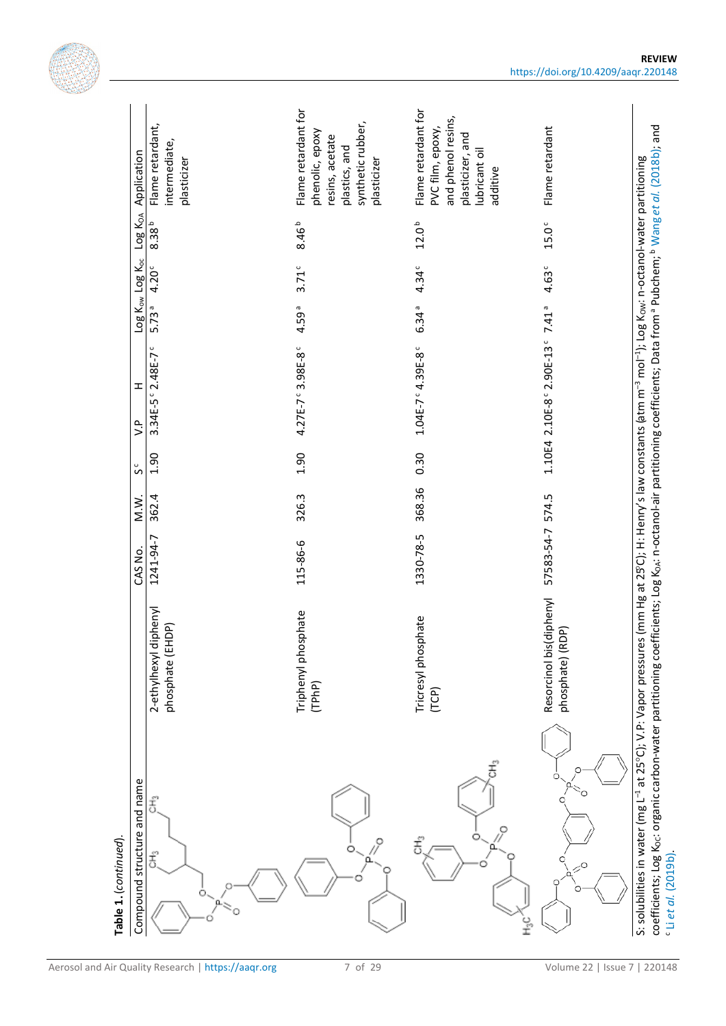|                                                      |                                                  | Flame retardant for                                                                     | Flame retardant for                                                                     |                                                 |                                                                                                                                                                                                       |
|------------------------------------------------------|--------------------------------------------------|-----------------------------------------------------------------------------------------|-----------------------------------------------------------------------------------------|-------------------------------------------------|-------------------------------------------------------------------------------------------------------------------------------------------------------------------------------------------------------|
| Application                                          | Flame retardant,<br>intermediate,<br>plasticizer | synthetic rubber,<br>phenolic, epoxy<br>resins, acetate<br>plastics, and<br>plasticizer | and phenol resins,<br>PVC film, epoxy,<br>plasticizer, and<br>lubricant oil<br>additive | Flame retardant                                 | coefficients; Log Koc: organic carbon-water partitioning coefficients; Log KoA: n-octanol-air partitioning coefficients; Data from <sup>a</sup> Pubchem; <sup>b</sup> Wang et al. (2018b); and        |
| Log K <sub>OA</sub>                                  | $8.38^{b}$                                       | 8.46 <sup>b</sup>                                                                       | 12.0 <sup>b</sup>                                                                       | $15.0\,^{\circ}$                                |                                                                                                                                                                                                       |
| Log Kow Log Koc                                      | 4.20 <sup>c</sup>                                | $3.71$ c                                                                                | 4.34 <sup>c</sup>                                                                       | 4.63 <sup>c</sup>                               |                                                                                                                                                                                                       |
|                                                      | 5.73a                                            | 4.59ª                                                                                   | 6.34 <sup>a</sup>                                                                       | 7.41 <sup>a</sup>                               |                                                                                                                                                                                                       |
| H                                                    | 3.34E-5° 2.48E-7°                                | 4.27E-7° 3.98E-8°                                                                       | 1.04E-7°4.39E-8°                                                                        | 1.10E4 2.10E-8° 2.90E-13°                       |                                                                                                                                                                                                       |
| $\sum_{i=1}^{n}$                                     |                                                  |                                                                                         |                                                                                         |                                                 |                                                                                                                                                                                                       |
| s c                                                  | 1.90                                             | 1.90                                                                                    | 0.30                                                                                    |                                                 |                                                                                                                                                                                                       |
| M.W.                                                 | 362.4                                            | 326.3                                                                                   | 368.36                                                                                  | 574.5                                           |                                                                                                                                                                                                       |
| CAS No.                                              | 1241-94-7                                        | 115-86-6                                                                                | 1330-78-5                                                                               | 57583-54-7                                      |                                                                                                                                                                                                       |
|                                                      | 2-ethylhexyl diphenyl<br>phosphate (EHDP)        | Triphenyl phosphate<br>(TPhP)                                                           | Tricresyl phosphate<br>(TCP)                                                            | Resorcinol bis(diphenyl<br>DP)<br>phosphate) (R |                                                                                                                                                                                                       |
| Compound structure and name<br>Table 1. (continued). | ŧ<br>$\ddot{\overline{5}}^o$<br>ũ.<br>O          | 0<br>$\alpha$                                                                           | ť<br>O<br>$\tilde{\overline{C}}$<br>α<br>o<br>I                                         | O<br>$\boldsymbol{z}^{\textnormal{o}}$          | S: solubilities in water (mg L <sup>-1</sup> at 25°C); V.P: Vapor pressures (mm Hg at 25°C); H: Henry's law constants (atm m <sup>-3</sup> mol <sup>-1</sup> ); Log Kow: n-octanol-water partitioning |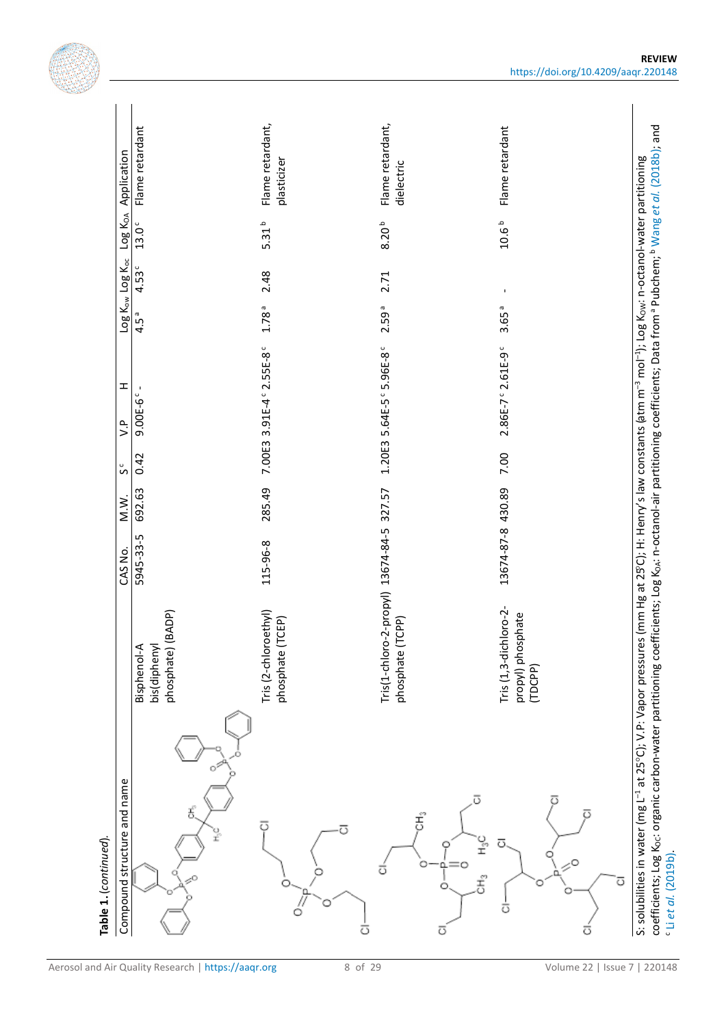115-96-8 285.49 7.00E3 3.91E-4 c 2.55E-8 c 1.78 a 2.48 5.31 b Flame retardant, 13674-84-5 327.57 1.20E3 5.64E-5 c 5.96E-8 c 2.59 a 2.71 8.20 b Flame retardant, Flame retardant, Flame retardant, coefficients; Log Koc: organic carbon-water partitioning coefficients; Log KoA: n-octanol-air partitioning coefficients; Data from <sup>a</sup> Pubchem; <sup>b</sup> Wang et al. (2018b); and coefficients; Log KOC: organic carbon-water partitioning coefficients; Log KOA: n-octanol-air partitioning coefficients; Data from a Pubchem; b Wang *et al.* [\(2018b\);](#page-26-3) and 13.0° Flame retardant Flame retardant 5945-33-5 692.63 0.42 9.00E-6 c - 4.5 a 4.53 c 13.0 c Flame retardant 13674-87-8 430.89 7.00 2.86E-7 c 2.61E-9 c 3.65 a - 10.6 b Flame retardant Log K<sub>OA</sub> Application  $\mathsf{Computation}$  s  $\mathsf{V}$  M.W.  $\mathsf{N}$  M.W.  $\mathsf{S}$  casted  $\mathsf{V}$  concluded  $\mathsf{V}$  and  $\mathsf{V}$  casted  $\mathsf{V}$  casted  $\mathsf{V}$  and  $\mathsf{V}$  casted  $\mathsf{V}$  casted  $\mathsf{V}$  and  $\mathsf{V}$  casted  $\mathsf{V}$  casted  $\mathsf{V}$  ca plasticizer S: solubilities in water (mg L<sup>-1</sup> at 25°C); V.P: Vapor pressures (mm Hg at 25°C); H: Henry's law constants (atm m<sup>-3</sup> mol<sup>-1</sup>); Log K<sub>OW</sub>: n-octanol-water partitioning S: solubilities in water (mg L<sup>-1</sup> at 25°C); V.P: Vapor pressures (mm Hg at 25°C); H: Henry's law constants (atm m<sup>-3</sup> mol<sup>-1</sup>); Log K<sub>OW</sub>: n-octanol-water partitioning dielectric dielectric  $10.6<sup>b</sup>$  $5.31<sup>b</sup>$  $8.20^{b}$ Log Kow Log Koc  $4.53c$ 2.48 2.71 j  $1.78<sup>a</sup>$ 2.59<sup>a</sup> 3.65<sup>a</sup>  $4.5<sup>a</sup>$ 7.00E3 3.91E-4° 2.55E-8° Tris(1-chloro-2-propyl) 13674-84-5 327.57 1.20E3 5.64E-5 ° 5.96E-8 ° 2.86E-7° 2.61E-9°  $\mathbf{I}$  $9.00E-6$  $\frac{p}{2}$ 7.00 0.42  $\tilde{\mathsf{S}}$ 692.63 285.49 13674-87-8 430.89 M.W. 5945-33-5 115-96-8 CAS No. Tris(1-chloro-2-propyl) Tris (1,3-dichloro-2-Tris (2-chloroethyl) Tris (2-chloroethyl) Tris (1,3-dichloro-2 phosphate) (BADP) propyl) phosphate propyl) phosphate phosphate) (BADP) phosphate (TCEP) phosphate (TCPP) phosphate (TCEP) phosphate (TCPP) bis(diphenyl Bisphenol-A bis(diphenyl Bisphenol-A (TDCPP) Compound structure and name ō Ξ, ਹ ਨ ι<br>Έ **Table 1.** (continued). **Table 1.**(*continued*)*.* ō ಕ ť ō  $\dot{\bar{o}}$ ō ō ō

8 of 29 Volume 2 2 | Issue 7 | 220148

 $c$  Li et al. (2019b). Li *et al.* [\(2019b\).](#page-23-2)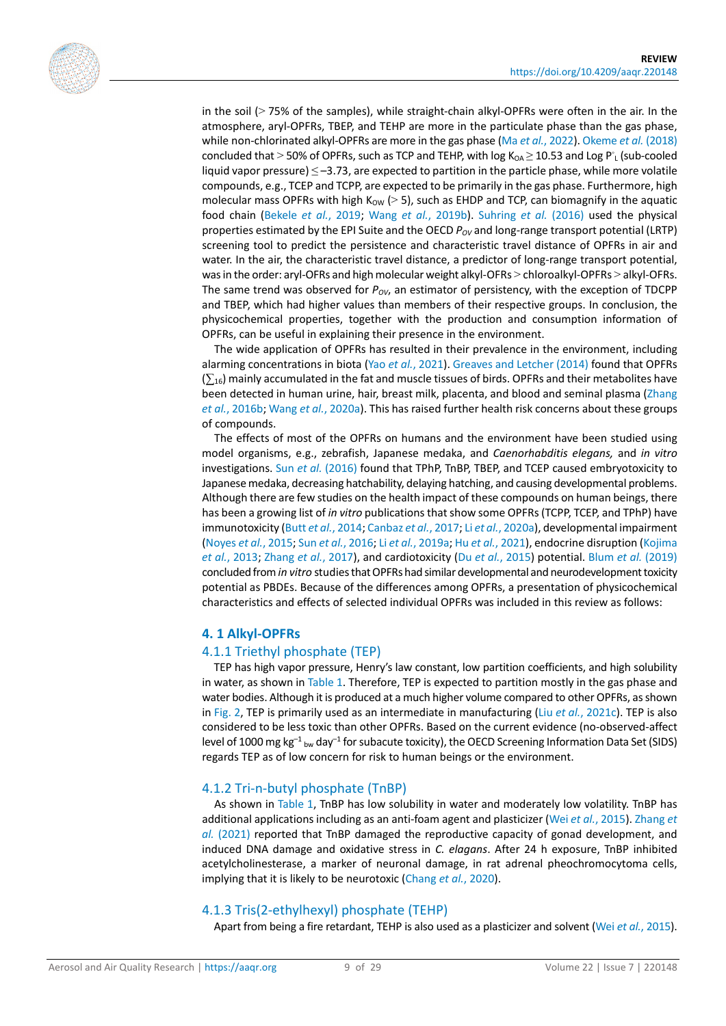

in the soil (> 75% of the samples), while straight-chain alkyl-OPFRs were often in the air. In the atmosphere, aryl-OPFRs, TBEP, and TEHP are more in the particulate phase than the gas phase, while non-chlorinated alkyl-OPFRs are more in the gas phase (Ma *et al.*[, 2022\)](#page-24-2)[. Okeme](#page-24-3) *et al.* (2018) concluded that > 50% of OPFRs, such as TCP and TEHP, with log  $K_{OA} \ge 10.53$  and Log P<sup>o</sup><sub>L</sub> (sub-cooled liquid vapor pressure)  $\leq$  -3.73, are expected to partition in the particle phase, while more volatile compounds, e.g., TCEP and TCPP, are expected to be primarily in the gas phase. Furthermore, high molecular mass OPFRs with high  $K_{\text{OW}}$  (> 5), such as EHDP and TCP, can biomagnify in the aquatic food chain [\(Bekele](#page-20-3) *et al.*, 2019; Wang *et al.*[, 2019b\)](#page-26-4). [Suhring](#page-25-4) *et al.* (2016) used the physical properties estimated by the EPI Suite and the OECD  $P_{OV}$  and long-range transport potential (LRTP) screening tool to predict the persistence and characteristic travel distance of OPFRs in air and water. In the air, the characteristic travel distance, a predictor of long-range transport potential, was in the order: aryl-OFRs and high molecular weight alkyl-OFRs > chloroalkyl-OPFRs > alkyl-OFRs. The same trend was observed for  $P_{\text{ov}}$ , an estimator of persistency, with the exception of TDCPP and TBEP, which had higher values than members of their respective groups. In conclusion, the physicochemical properties, together with the production and consumption information of OPFRs, can be useful in explaining their presence in the environment.

The wide application of OPFRs has resulted in their prevalence in the environment, including alarming concentrations in biota (Yao *et al.*[, 2021\)](#page-27-3)[. Greaves and Letcher \(2014\)](#page-22-4) found that OPFRs  $(\sum_{16})$  mainly accumulated in the fat and muscle tissues of birds. OPFRs and their metabolites have been detected in human urine, hair, breast milk, placenta, and blood and seminal plasma [\(Zhang](#page-28-1)  *et al.*[, 2016b;](#page-28-1) Wang *et al.*[, 2020a\)](#page-26-5). This has raised further health risk concerns about these groups of compounds.

The effects of most of the OPFRs on humans and the environment have been studied using model organisms, e.g., zebrafish, Japanese medaka, and *Caenorhabditis elegans,* and *in vitro*  investigations. Sun *et al.* [\(2016\)](#page-26-6) found that TPhP, TnBP, TBEP, and TCEP caused embryotoxicity to Japanese medaka, decreasing hatchability, delaying hatching, and causing developmental problems. Although there are few studies on the health impact of these compounds on human beings, there has been a growing list of *in vitro* publications that show some OPFRs (TCPP, TCEP, and TPhP) have immunotoxicity (Butt *et al.*[, 2014;](#page-20-4) [Canbaz](#page-20-5) *et al.*, 2017; Li *et al.*[, 2020a\)](#page-23-3), developmental impairment [\(Noyes](#page-24-4) *et al.*, 2015; Sun *et al.*[, 2016;](#page-26-6) Li *et al.*[, 2019a;](#page-23-0) Hu *et al.*[, 2021\)](#page-22-5), endocrine disruption [\(Kojima](#page-22-0)  *et al.*[, 2013;](#page-22-0) [Zhang](#page-27-4) *et al.*, 2017), and cardiotoxicity (Du *et al.*[, 2015\)](#page-21-1) potential. Blum *et al.* [\(2019\)](#page-20-0) concluded from*in vitro* studies that OPFRs had similar developmental and neurodevelopment toxicity potential as PBDEs. Because of the differences among OPFRs, a presentation of physicochemical characteristics and effects of selected individual OPFRs was included in this review as follows:

#### **4. 1 Alkyl-OPFRs**

#### 4.1.1 Triethyl phosphate (TEP)

TEP has high vapor pressure, Henry's law constant, low partition coefficients, and high solubility in water, as shown in Table 1. Therefore, TEP is expected to partition mostly in the gas phase and water bodies. Although it is produced at a much higher volume compared to other OPFRs, as shown i[n Fig. 2,](#page-3-0) TEP is primarily used as an intermediate in manufacturing (Liu *et al.*[, 2021c\)](#page-23-4). TEP is also considered to be less toxic than other OPFRs. Based on the current evidence (no-observed-affect level of 1000 mg kg<sup>-1</sup> bw day<sup>-1</sup> for subacute toxicity), the OECD Screening Information Data Set (SIDS) regards TEP as of low concern for risk to human beings or the environment.

#### 4.1.2 Tri-n-butyl phosphate (TnBP)

As shown in Table 1, TnBP has low solubility in water and moderately low volatility. TnBP has additional applications including as an anti-foam agent and plasticizer (Wei *et al.*[, 2015\)](#page-26-7). [Zhang](#page-27-5) *et al.* [\(2021\)](#page-27-5) reported that TnBP damaged the reproductive capacity of gonad development, and induced DNA damage and oxidative stress in *C. elagans*. After 24 h exposure, TnBP inhibited acetylcholinesterase, a marker of neuronal damage, in rat adrenal pheochromocytoma cells, implying that it is likely to be neurotoxic [\(Chang](#page-21-3) *et al.*, 2020).

#### 4.1.3 Tris(2-ethylhexyl) phosphate (TEHP)

Apart from being a fire retardant, TEHP is also used as a plasticizer and solvent (Wei *et al.*[, 2015\)](#page-26-7).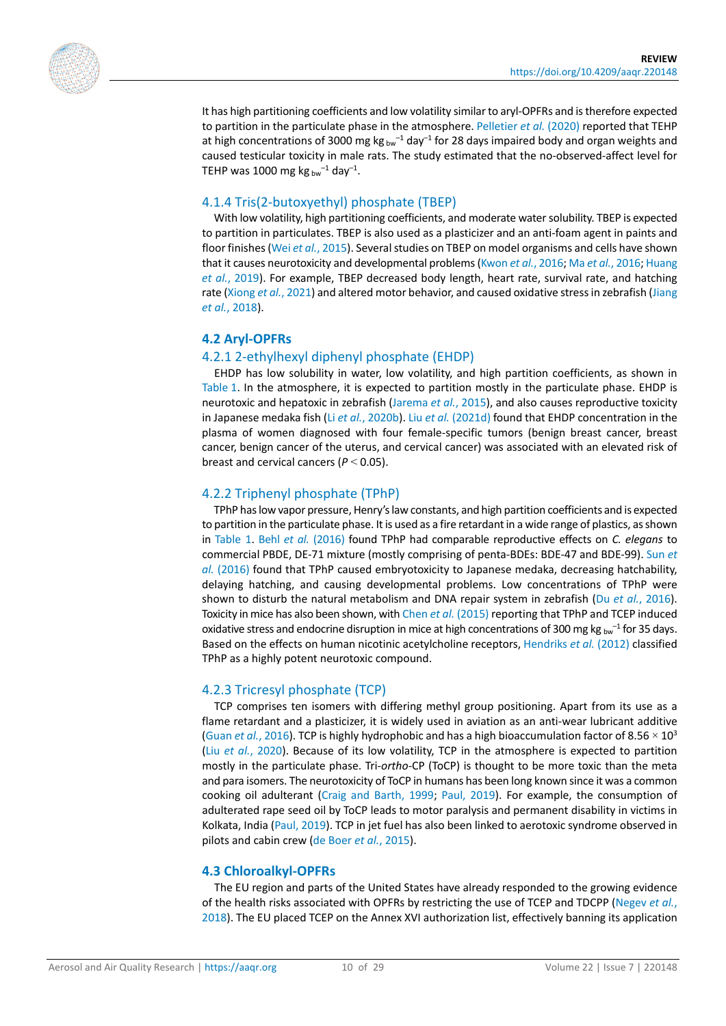

It has high partitioning coefficients and low volatility similar to aryl-OPFRs and is therefore expected to partition in the particulate phase in the atmosphere. [Pelletier](#page-25-5) *et al.* (2020) reported that TEHP at high concentrations of 3000 mg kg  $_{\text{bw}^{-1}}$  day<sup>-1</sup> for 28 days impaired body and organ weights and caused testicular toxicity in male rats. The study estimated that the no-observed-affect level for TEHP was 1000 mg kg  $_{\text{bw}}$ <sup>-1</sup> day<sup>-1</sup>.

#### 4.1.4 Tris(2-butoxyethyl) phosphate (TBEP)

With low volatility, high partitioning coefficients, and moderate water solubility. TBEP is expected to partition in particulates. TBEP is also used as a plasticizer and an anti-foam agent in paints and floor finishes (Wei *et al.*[, 2015\)](#page-26-7). Several studies on TBEP on model organisms and cells have shown that it causes neurotoxicity and developmental problems [\(Kwon](#page-23-5) *et al.*, 2016; Ma *et al.*[, 2016;](#page-24-5) [Huang](#page-22-6)  *et al.*[, 2019\)](#page-22-6). For example, TBEP decreased body length, heart rate, survival rate, and hatching rate [\(Xiong](#page-27-6) *et al.*, 2021) and altered motor behavior, and caused oxidative stress in zebrafish [\(Jiang](#page-22-7)  *et al.*[, 2018\)](#page-22-7).

#### **4.2 Aryl-OPFRs**

#### 4.2.1 2-ethylhexyl diphenyl phosphate (EHDP)

EHDP has low solubility in water, low volatility, and high partition coefficients, as shown in Table 1. In the atmosphere, it is expected to partition mostly in the particulate phase. EHDP is neurotoxic and hepatoxic in zebrafish [\(Jarema](#page-22-8) *et al.*, 2015), and also causes reproductive toxicity in Japanese medaka fish (Li *et al.*[, 2020b\)](#page-23-6). Liu *et al.* [\(2021d\)](#page-24-6) found that EHDP concentration in the plasma of women diagnosed with four female-specific tumors (benign breast cancer, breast cancer, benign cancer of the uterus, and cervical cancer) was associated with an elevated risk of breast and cervical cancers (*P* < 0.05).

#### 4.2.2 Triphenyl phosphate (TPhP)

TPhP has low vapor pressure, Henry's law constants, and high partition coefficients and is expected to partition in the particulate phase. It is used as a fire retardant in a wide range of plastics, as shown in Table 1. Behl *et al.* [\(2016\)](#page-20-6) found TPhP had comparable reproductive effects on *C. elegans* to commercial PBDE, DE-71 mixture (mostly comprising of penta-BDEs: BDE-47 and BDE-99)[. Sun](#page-26-6) *et al.* [\(2016\)](#page-26-6) found that TPhP caused embryotoxicity to Japanese medaka, decreasing hatchability, delaying hatching, and causing developmental problems. Low concentrations of TPhP were shown to disturb the natural metabolism and DNA repair system in zebrafish (Du *et al.*[, 2016\)](#page-21-4). Toxicity in mice has also been shown, with Chen *et al.* [\(2015\)](#page-21-5) reporting that TPhP and TCEP induced oxidative stress and endocrine disruption in mice at high concentrations of 300 mg kg  $_{\text{bw}}^{-1}$  for 35 days. Based on the effects on human nicotinic acetylcholine receptors[, Hendriks](#page-22-9) *et al.* (2012) classified TPhP as a highly potent neurotoxic compound.

#### 4.2.3 Tricresyl phosphate (TCP)

TCP comprises ten isomers with differing methyl group positioning. Apart from its use as a flame retardant and a plasticizer, it is widely used in aviation as an anti-wear lubricant additive (Guan *et al.*[, 2016\)](#page-22-10). TCP is highly hydrophobic and has a high bioaccumulation factor of 8.56  $\times$  10<sup>3</sup> (Liu *et al.*[, 2020\)](#page-23-7). Because of its low volatility, TCP in the atmosphere is expected to partition mostly in the particulate phase. Tri-*ortho*-CP (ToCP) is thought to be more toxic than the meta and para isomers. The neurotoxicity of ToCP in humans has been long known since it was a common cooking oil adulterant [\(Craig and Barth, 1999;](#page-21-6) [Paul, 2019\)](#page-25-6). For example, the consumption of adulterated rape seed oil by ToCP leads to motor paralysis and permanent disability in victims in Kolkata, India [\(Paul, 2019\)](#page-25-6). TCP in jet fuel has also been linked to aerotoxic syndrome observed in pilots and cabin crew [\(de Boer](#page-21-7) *et al.*, 2015).

#### **4.3 Chloroalkyl-OPFRs**

The EU region and parts of the United States have already responded to the growing evidence of the health risks associated with OPFRs by restricting the use of TCEP and TDCPP [\(Negev](#page-24-7) *et al.*, [2018\)](#page-24-7). The EU placed TCEP on the Annex XVI authorization list, effectively banning its application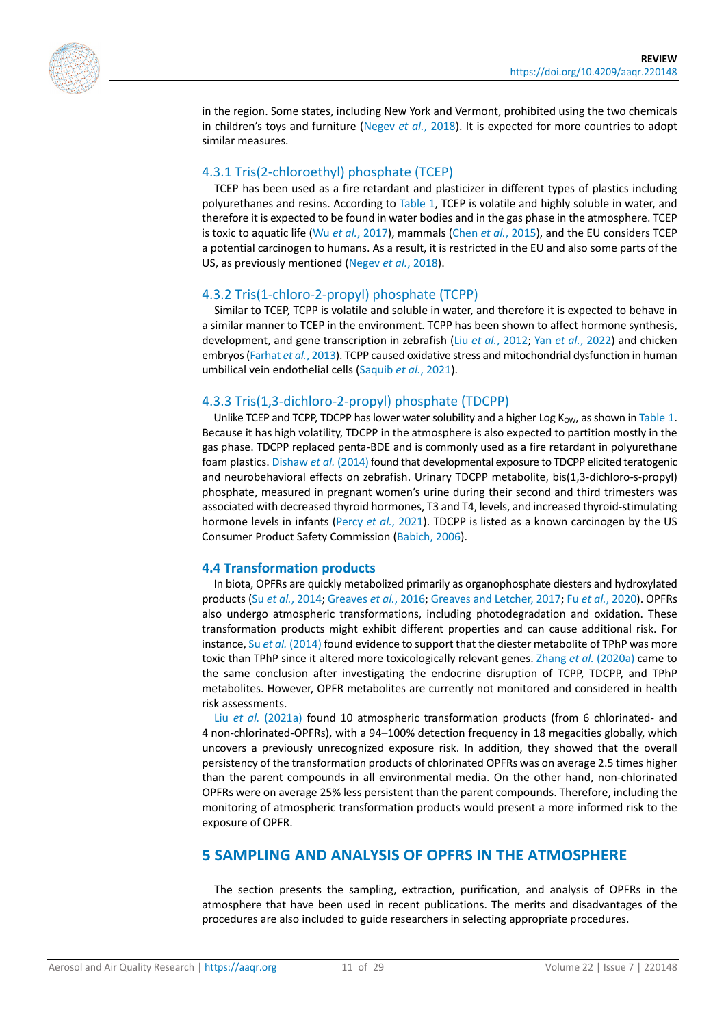

in the region. Some states, including New York and Vermont, prohibited using the two chemicals in children's toys and furniture [\(Negev](#page-24-7) *et al.*, 2018). It is expected for more countries to adopt similar measures.

#### 4.3.1 Tris(2-chloroethyl) phosphate (TCEP)

TCEP has been used as a fire retardant and plasticizer in different types of plastics including polyurethanes and resins. According to Table 1, TCEP is volatile and highly soluble in water, and therefore it is expected to be found in water bodies and in the gas phase in the atmosphere. TCEP is toxic to aquatic life (Wu *et al.*[, 2017\)](#page-27-7), mammals (Chen *et al.*[, 2015\)](#page-21-5), and the EU considers TCEP a potential carcinogen to humans. As a result, it is restricted in the EU and also some parts of the US, as previously mentioned [\(Negev](#page-24-7) *et al.*, 2018).

#### 4.3.2 Tris(1-chloro-2-propyl) phosphate (TCPP)

Similar to TCEP, TCPP is volatile and soluble in water, and therefore it is expected to behave in a similar manner to TCEP in the environment. TCPP has been shown to affect hormone synthesis, development, and gene transcription in zebrafish (Liu *et al.*[, 2012;](#page-23-8) Yan *et al.*[, 2022\)](#page-27-8) and chicken embryos [\(Farhat](#page-21-8) *et al.*, 2013). TCPP caused oxidative stress and mitochondrial dysfunction in human umbilical vein endothelial cells [\(Saquib](#page-25-7) *et al.*, 2021).

#### 4.3.3 Tris(1,3-dichloro-2-propyl) phosphate (TDCPP)

Unlike TCEP and TCPP, TDCPP has lower water solubility and a higher Log  $K_{\text{OW}}$ , as shown in Table 1. Because it has high volatility, TDCPP in the atmosphere is also expected to partition mostly in the gas phase. TDCPP replaced penta-BDE and is commonly used as a fire retardant in polyurethane foam plastics[. Dishaw](#page-21-9) *et al.* (2014) found that developmental exposure to TDCPP elicited teratogenic and neurobehavioral effects on zebrafish. Urinary TDCPP metabolite, bis(1,3-dichloro-s-propyl) phosphate, measured in pregnant women's urine during their second and third trimesters was associated with decreased thyroid hormones, T3 and T4, levels, and increased thyroid-stimulating hormone levels in infants (Percy *et al.*[, 2021\)](#page-25-8). TDCPP is listed as a known carcinogen by the US Consumer Product Safety Commission [\(Babich, 2006\)](#page-20-7).

#### **4.4 Transformation products**

In biota, OPFRs are quickly metabolized primarily as organophosphate diesters and hydroxylated products (Su *et al.*[, 2014;](#page-25-9) [Greaves](#page-22-11) *et al.*, 2016[; Greaves and Letcher, 2017;](#page-22-12) Fu *et al.*[, 2020\)](#page-21-10). OPFRs also undergo atmospheric transformations, including photodegradation and oxidation. These transformation products might exhibit different properties and can cause additional risk. For instance, Su *et al.* [\(2014\)](#page-25-9) found evidence to support that the diester metabolite of TPhP was more toxic than TPhP since it altered more toxicologically relevant genes. Zhang *et al.* [\(2020a\)](#page-27-9) came to the same conclusion after investigating the endocrine disruption of TCPP, TDCPP, and TPhP metabolites. However, OPFR metabolites are currently not monitored and considered in health risk assessments.

Liu *et al.* [\(2021a\)](#page-23-9) found 10 atmospheric transformation products (from 6 chlorinated- and 4 non-chlorinated-OPFRs), with a 94–100% detection frequency in 18 megacities globally, which uncovers a previously unrecognized exposure risk. In addition, they showed that the overall persistency of the transformation products of chlorinated OPFRs was on average 2.5 times higher than the parent compounds in all environmental media. On the other hand, non-chlorinated OPFRs were on average 25% less persistent than the parent compounds. Therefore, including the monitoring of atmospheric transformation products would present a more informed risk to the exposure of OPFR.

#### **5 SAMPLING AND ANALYSIS OF OPFRS IN THE ATMOSPHERE**

The section presents the sampling, extraction, purification, and analysis of OPFRs in the atmosphere that have been used in recent publications. The merits and disadvantages of the procedures are also included to guide researchers in selecting appropriate procedures.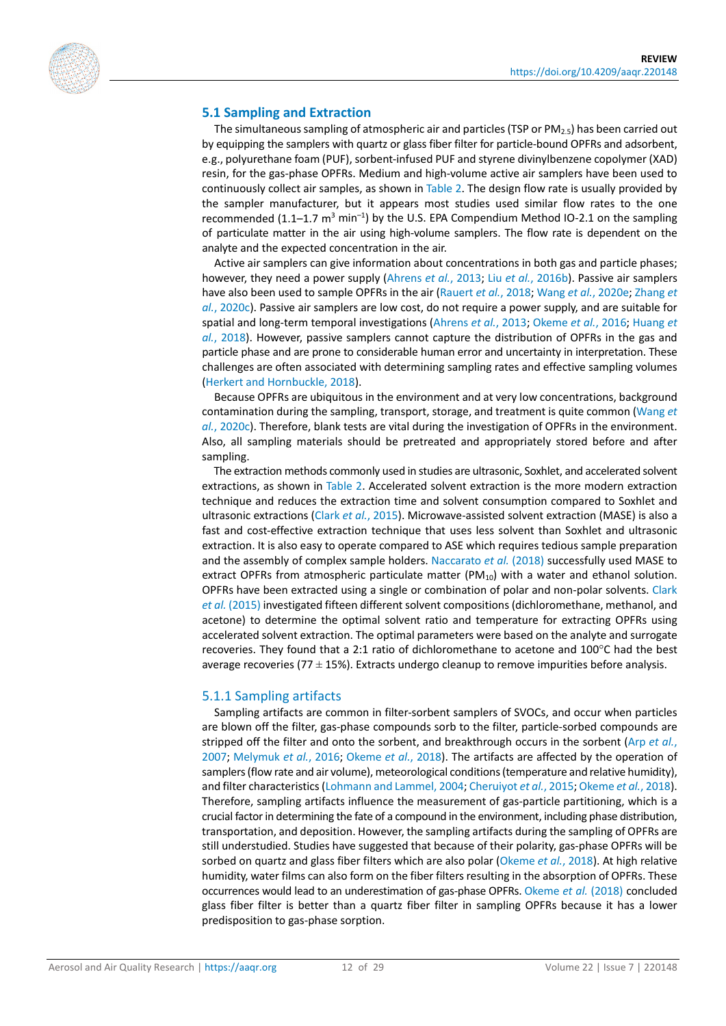

#### **5.1 Sampling and Extraction**

The simultaneous sampling of atmospheric air and particles (TSP or  $PM_{2.5}$ ) has been carried out by equipping the samplers with quartz or glass fiber filter for particle-bound OPFRs and adsorbent, e.g., polyurethane foam (PUF), sorbent-infused PUF and styrene divinylbenzene copolymer (XAD) resin, for the gas-phase OPFRs. Medium and high-volume active air samplers have been used to continuously collect air samples, as shown in Table 2. The design flow rate is usually provided by the sampler manufacturer, but it appears most studies used similar flow rates to the one recommended  $(1.1-1.7 \text{ m}^3 \text{ min}^{-1})$  by the U.S. EPA Compendium Method IO-2.1 on the sampling of particulate matter in the air using high-volume samplers. The flow rate is dependent on the analyte and the expected concentration in the air.

Active air samplers can give information about concentrations in both gas and particle phases; however, they need a power supply [\(Ahrens](#page-20-8) *et al.*, 2013; Liu *et al.*[, 2016b\)](#page-23-10). Passive air samplers have also been used to sample OPFRs in the air [\(Rauert](#page-25-10) *et al.*, 2018; Wang *et al.*[, 2020e;](#page-26-8) [Zhang](#page-28-2) *et al.*[, 2020c\)](#page-28-2). Passive air samplers are low cost, do not require a power supply, and are suitable for spatial and long-term temporal investigations [\(Ahrens](#page-20-8) *et al.*, 2013; [Okeme](#page-24-8) *et al.*, 2016; [Huang](#page-22-13) *et al.*[, 2018\)](#page-22-13). However, passive samplers cannot capture the distribution of OPFRs in the gas and particle phase and are prone to considerable human error and uncertainty in interpretation. These challenges are often associated with determining sampling rates and effective sampling volumes [\(Herkert and Hornbuckle, 2018\)](#page-22-14).

Because OPFRs are ubiquitous in the environment and at very low concentrations, background contamination during the sampling, transport, storage, and treatment is quite common [\(Wang](#page-26-0) *et al.*[, 2020c\)](#page-26-0). Therefore, blank tests are vital during the investigation of OPFRs in the environment. Also, all sampling materials should be pretreated and appropriately stored before and after sampling.

The extraction methods commonly used in studies are ultrasonic, Soxhlet, and accelerated solvent extractions, as shown in Table 2. Accelerated solvent extraction is the more modern extraction technique and reduces the extraction time and solvent consumption compared to Soxhlet and ultrasonic extractions (Clark *et al.*[, 2015\)](#page-21-11). Microwave-assisted solvent extraction (MASE) is also a fast and cost-effective extraction technique that uses less solvent than Soxhlet and ultrasonic extraction. It is also easy to operate compared to ASE which requires tedious sample preparation and the assembly of complex sample holders. [Naccarato](#page-24-9) *et al.* (2018) successfully used MASE to extract OPFRs from atmospheric particulate matter (PM $_{10}$ ) with a water and ethanol solution. OPFRs have been extracted using a single or combination of polar and non-polar solvents. [Clark](#page-21-11)  *et al.* [\(2015\)](#page-21-11) investigated fifteen different solvent compositions (dichloromethane, methanol, and acetone) to determine the optimal solvent ratio and temperature for extracting OPFRs using accelerated solvent extraction. The optimal parameters were based on the analyte and surrogate recoveries. They found that a 2:1 ratio of dichloromethane to acetone and 100°C had the best average recoveries (77  $\pm$  15%). Extracts undergo cleanup to remove impurities before analysis.

#### 5.1.1 Sampling artifacts

Sampling artifacts are common in filter-sorbent samplers of SVOCs, and occur when particles are blown off the filter, gas-phase compounds sorb to the filter, particle-sorbed compounds are stripped off the filter and onto the sorbent, and breakthrough occurs in the sorbent (Arp *[et al.](#page-20-9)*, [2007;](#page-20-9) [Melymuk](#page-24-10) *et al.*, 2016; [Okeme](#page-24-3) *et al.*, 2018). The artifacts are affected by the operation of samplers (flow rate and air volume), meteorological conditions (temperature and relative humidity), and filter characteristics [\(Lohmann and Lammel, 2004;](#page-24-11) [Cheruiyot](#page-21-12) *et al.*, 2015[; Okeme](#page-24-3) *et al.*, 2018). Therefore, sampling artifacts influence the measurement of gas-particle partitioning, which is a crucial factor in determining the fate of a compound in the environment, including phase distribution, transportation, and deposition. However, the sampling artifacts during the sampling of OPFRs are still understudied. Studies have suggested that because of their polarity, gas-phase OPFRs will be sorbed on quartz and glass fiber filters which are also polar [\(Okeme](#page-24-3) *et al.*, 2018). At high relative humidity, water films can also form on the fiber filters resulting in the absorption of OPFRs. These occurrences would lead to an underestimation of gas-phase OPFRs[. Okeme](#page-24-3) *et al.* (2018) concluded glass fiber filter is better than a quartz fiber filter in sampling OPFRs because it has a lower predisposition to gas-phase sorption.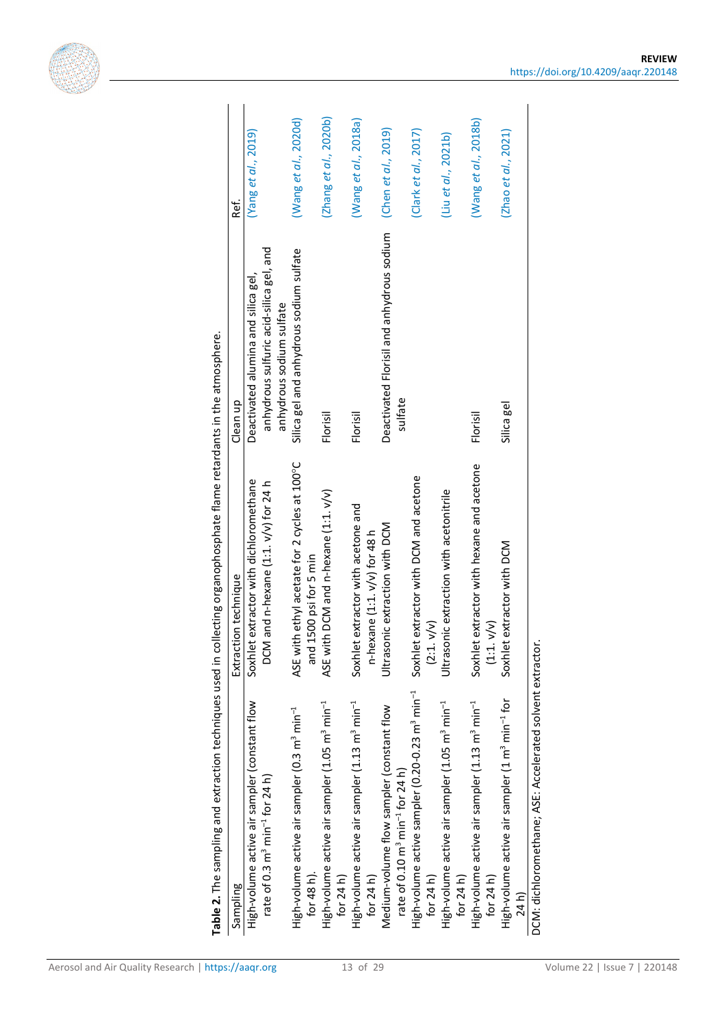

| Sampling                                                                                             | Table 2. The sampling and extraction techniques used in collecting organophosphate flame retardants in the atmosphere.<br>Extraction technique | Clean up                                                            | Ref.                  |
|------------------------------------------------------------------------------------------------------|------------------------------------------------------------------------------------------------------------------------------------------------|---------------------------------------------------------------------|-----------------------|
| High-volume active air sampler (constant flow                                                        | Soxhlet extractor with dichloromethane                                                                                                         | Deactivated alumina and silica gel,                                 | (Yang et al., 2019)   |
| rate of 0.3 $m3 min-1$ for 24 h)                                                                     | DCM and n-hexane (1:1. v/v) for 24 h                                                                                                           | anhydrous sulfuric acid-silica gel, and<br>anhydrous sodium sulfate |                       |
| and<br>High-volume active air sampler (0.3 m <sup>3</sup> min <sup>-1</sup><br>for 48 h).            | ASE with ethyl acetate for 2 cycles at 100°C<br>1500 psi for 5 min                                                                             | Silica gel and anhydrous sodium sulfate                             | (Wang et al., 2020d)  |
| High-volume active air sampler (1.05 m <sup>3</sup> min <sup>-1</sup><br>for 24 h)                   | ASE with DCM and n-hexane (1:1. v/v)                                                                                                           | Florisil                                                            | (Zhang et al., 2020b) |
| High-volume active air sampler (1.13 m <sup>3</sup> min <sup>-1</sup><br>for $24h$                   | Soxhlet extractor with acetone and<br>n-hexane (1:1. v/v) for 48 h                                                                             | Florisil                                                            | (Wang et al., 2018a)  |
| Medium-volume flow sampler (constant flow<br>rate of 0.10 m <sup>3</sup> min <sup>-1</sup> for 24 h) | Ultrasonic extraction with DCM                                                                                                                 | Deactivated Florisil and anhydrous sodium<br>sulfate                | (Chen et al., 2019)   |
| (2:1)<br>High-volume active sampler (0.20-0.23 m <sup>3</sup> min <sup>-1</sup><br>for $24 h$        | Soxhlet extractor with DCM and acetone<br>V/V)                                                                                                 |                                                                     | (Clark et al., 2017)  |
| Ultraso<br>High-volume active air sampler (1.05 m <sup>3</sup> min <sup>-1</sup><br>for $24 h$       | nic extraction with acetonitrile                                                                                                               |                                                                     | (liu et al., 2021b)   |
| $\frac{1}{2}$<br>High-volume active air sampler (1.13 m <sup>3</sup> min <sup>-1</sup><br>for $24 h$ | Soxhlet extractor with hexane and acetone<br>V/V)                                                                                              | Florisil                                                            | (Wang et al., 2018b)  |
| High-volume active air sampler (1 m <sup>3</sup> min <sup>-1</sup> for<br>24h                        | Soxhlet extractor with DCM                                                                                                                     | Silica gel                                                          | (Zhao et al., 2021)   |

**REVIEW** <https://doi.org/10.4209/aaqr.220148>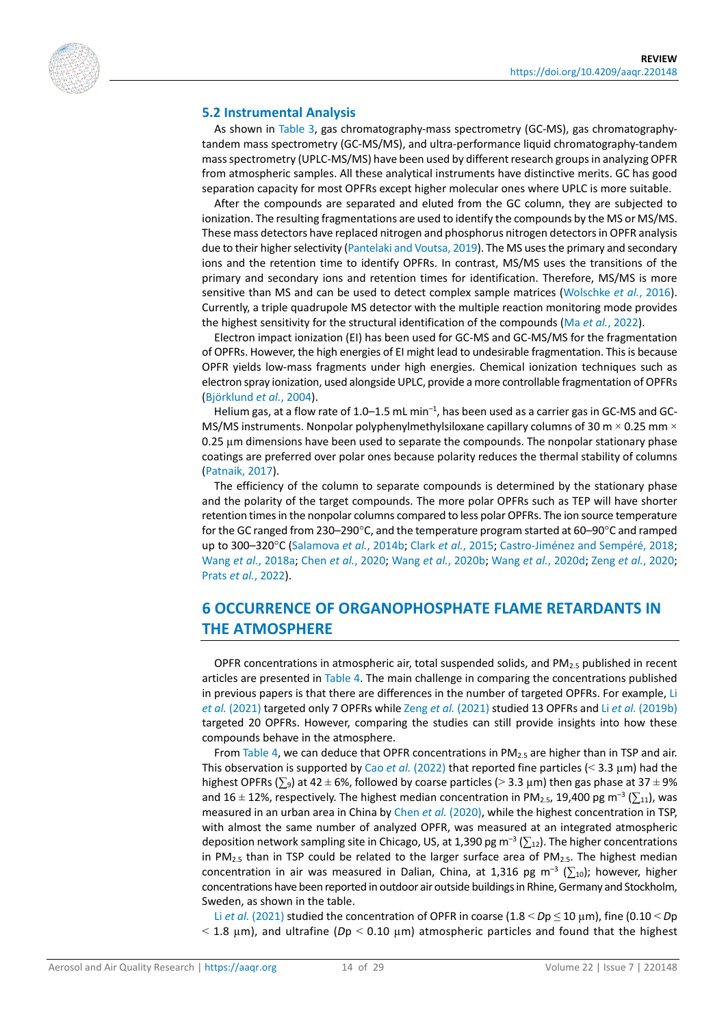

#### **5.2 Instrumental Analysis**

As shown in Table 3, gas chromatography-mass spectrometry (GC-MS), gas chromatographytandem mass spectrometry (GC-MS/MS), and ultra-performance liquid chromatography-tandem mass spectrometry (UPLC-MS/MS) have been used by different research groups in analyzing OPFR from atmospheric samples. All these analytical instruments have distinctive merits. GC has good separation capacity for most OPFRs except higher molecular ones where UPLC is more suitable.

After the compounds are separated and eluted from the GC column, they are subjected to ionization. The resulting fragmentations are used to identify the compounds by the MS or MS/MS. These mass detectors have replaced nitrogen and phosphorus nitrogen detectors in OPFR analysis due to their higher selectivity [\(Pantelaki and Voutsa, 2019\)](#page-24-12). The MS uses the primary and secondary ions and the retention time to identify OPFRs. In contrast, MS/MS uses the transitions of the primary and secondary ions and retention times for identification. Therefore, MS/MS is more sensitive than MS and can be used to detect complex sample matrices [\(Wolschke](#page-26-9) *et al.*, 2016). Currently, a triple quadrupole MS detector with the multiple reaction monitoring mode provides the highest sensitivity for the structural identification of the compounds (Ma *et al.*[, 2022\)](#page-24-2).

Electron impact ionization (EI) has been used for GC-MS and GC-MS/MS for the fragmentation of OPFRs. However, the high energies of EI might lead to undesirable fragmentation. This is because OPFR yields low-mass fragments under high energies. Chemical ionization techniques such as electron spray ionization, used alongside UPLC, provide a more controllable fragmentation of OPFRs [\(Björklund](#page-20-10) *et al.*, 2004).

Helium gas, at a flow rate of 1.0–1.5 mL min<sup>-1</sup>, has been used as a carrier gas in GC-MS and GC-MS/MS instruments. Nonpolar polyphenylmethylsiloxane capillary columns of 30 m  $\times$  0.25 mm  $\times$ 0.25 µm dimensions have been used to separate the compounds. The nonpolar stationary phase coatings are preferred over polar ones because polarity reduces the thermal stability of columns [\(Patnaik, 2017\)](#page-24-13).

The efficiency of the column to separate compounds is determined by the stationary phase and the polarity of the target compounds. The more polar OPFRs such as TEP will have shorter retention times in the nonpolar columns compared to less polar OPFRs. The ion source temperature for the GC ranged from 230–290°C, and the temperature program started at 60–90°C and ramped up to 300–320°C [\(Salamova](#page-25-11) *et al.*, 2014b; Clark *et al.*[, 2015;](#page-21-11) [Castro-Jiménez and Sempéré, 2018;](#page-20-11) Wang *et al.*[, 2018a;](#page-26-10) Chen *et al.*[, 2020;](#page-21-14) Wang *et al.*[, 2020b;](#page-26-11) Wang *et al.*[, 2020d;](#page-26-12) Zeng *et al.*[, 2020;](#page-27-11) Prats *et al.*[, 2022\)](#page-25-12).

# **6 OCCURRENCE OF ORGANOPHOSPHATE FLAME RETARDANTS IN THE ATMOSPHERE**

OPFR concentrations in atmospheric air, total suspended solids, and  $PM<sub>2.5</sub>$  published in recent articles are presented in Table 4. The main challenge in comparing the concentrations published in previous papers is that there are differences in the number of targeted OPFRs. For example, [Li](#page-23-11)  *et al.* [\(2021\)](#page-23-11) targeted only 7 OPFRs while Zeng *et al.* [\(2021\)](#page-27-12) studied 13 OPFRs and Li *et al.* [\(2019b\)](#page-23-1) targeted 20 OPFRs. However, comparing the studies can still provide insights into how these compounds behave in the atmosphere.

From Table 4, we can deduce that OPFR concentrations in  $PM_{2.5}$  are higher than in TSP and air. This observation is supported by Cao *et al.* [\(2022\)](#page-20-12) that reported fine particles ( $\leq$  3.3  $\mu$ m) had the highest OPFRs ( $\Sigma_9$ ) at 42 ± 6%, followed by coarse particles (> 3.3 µm) then gas phase at 37 ± 9% and 16 ± 12%, respectively. The highest median concentration in PM<sub>2.5</sub>, 19,400 pg m<sup>-3</sup> ( $\Sigma_{11}$ ), was measured in an urban area in China by Chen *et al.* [\(2020\),](#page-21-14) while the highest concentration in TSP, with almost the same number of analyzed OPFR, was measured at an integrated atmospheric deposition network sampling site in Chicago, US, at 1,390 pg m<sup>-3</sup> ( $\sum_{12}$ ). The higher concentrations in PM<sub>2.5</sub> than in TSP could be related to the larger surface area of PM<sub>2.5</sub>. The highest median concentration in air was measured in Dalian, China, at 1,316 pg m<sup>-3</sup> ( $\sum_{10}$ ); however, higher concentrations have been reported in outdoor air outside buildings in Rhine, Germany and Stockholm, Sweden, as shown in the table.

Li *et al.* [\(2021\)](#page-23-11) studied the concentration of OPFR in coarse (1.8 < *D*p ≤ 10 µm), fine (0.10 < *D*p  $<$  1.8  $\mu$ m), and ultrafine (*D*p  $<$  0.10  $\mu$ m) atmospheric particles and found that the highest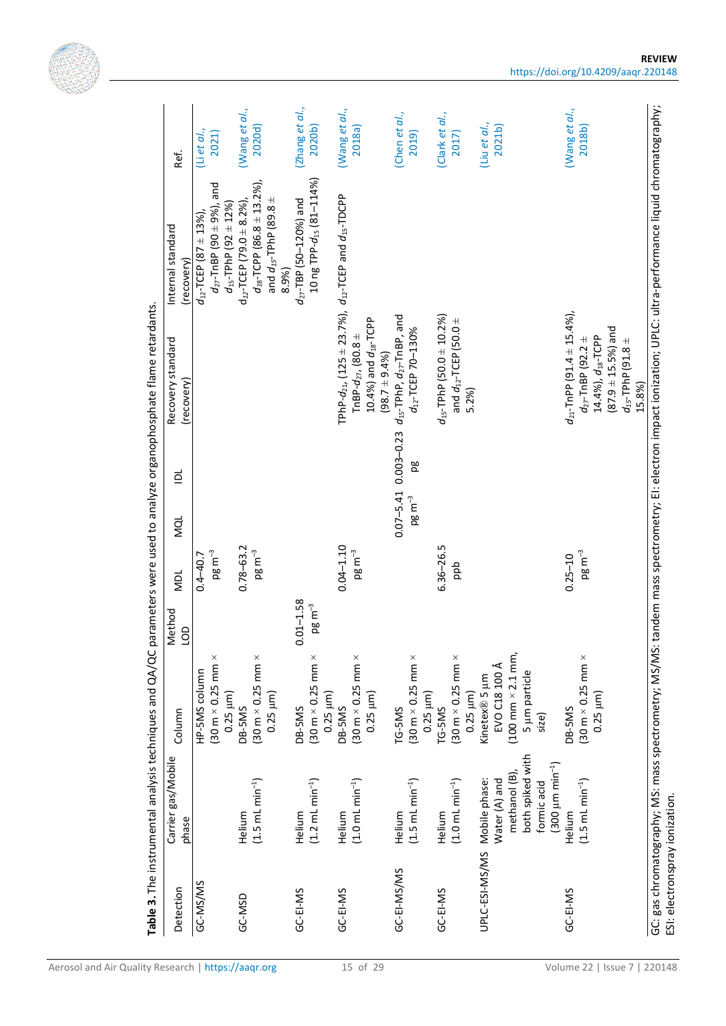| Table 3. The instrumental analysis techniques and QA/QC parameters were used to analyze organophosphate flame retardants. |                                                                    |                          |                       |                |           |                                                                                     |                                                                         |                                   |
|---------------------------------------------------------------------------------------------------------------------------|--------------------------------------------------------------------|--------------------------|-----------------------|----------------|-----------|-------------------------------------------------------------------------------------|-------------------------------------------------------------------------|-----------------------------------|
| Carrier gas/Mobile<br>phase                                                                                               | Column                                                             | Method<br>$\overline{5}$ | NDL                   | MQL            | $\vec{p}$ | Recovery standard<br>(recovery)                                                     | Internal standard<br>(recovery)                                         | Ref.                              |
|                                                                                                                           | HP-5MS column                                                      |                          | $0.4 - 40.7$          |                |           |                                                                                     | $d_{12}$ -TCEP $(87 \pm 13\%)$                                          | (Li et al.,                       |
|                                                                                                                           | $(30 \text{ m} \times 0.25 \text{ mm} \times$                      |                          | $pg \, m^{-3}$        |                |           |                                                                                     | $d_{27}$ -TnBP (90 $\pm$ 9%), and                                       | 2021)                             |
|                                                                                                                           | $0.25 \mu m$ )                                                     |                          |                       |                |           |                                                                                     | $d_{15}$ -TPhP (92 $\pm$ 12%)                                           |                                   |
| $(1.5 \text{ mL min}^{-1})$<br>Helium                                                                                     | $(30 \text{ m} \times 0.25 \text{ mm} \times$<br>DB-5MS            |                          | $0.78 - 63.2$         |                |           |                                                                                     | $d_{18}$ -TCPP (86.8 $\pm$ 13.2%),<br>$d_{12}$ -TCEP (79.0 $\pm$ 8.2%), | (Wang et al.,<br>2020d)           |
|                                                                                                                           | $0.25 \mu m$ )                                                     |                          | $pg \, m^{-3}$        |                |           |                                                                                     | $^+$<br>and $d_{15}$ -TPhP (89.8<br>8.9%)                               |                                   |
| Helium                                                                                                                    | DB-5MS                                                             | $0.01 - 1.58$            |                       |                |           |                                                                                     | $d_{27}$ -TBP (50-120%) and                                             | (Zhang et al.,                    |
| $(1.2 \text{ mL min}^{-1})$                                                                                               | $(30 \text{ m} \times 0.25 \text{ mm} \times$<br>$0.25 \mu m$ )    | $pg \, m^{-3}$           |                       |                |           |                                                                                     | 10 ng TPP- $d_{15}$ (81-114%)                                           | 2020 <sub>b</sub>                 |
| Helium                                                                                                                    | <b>DB-5MS</b>                                                      |                          | $0.04 - 1.10$         |                |           |                                                                                     | TPhP- $d_{21}$ , (125 $\pm$ 23.7%), $d_{12}$ -TCEP and $d_{15}$ -TDCPP  | (Wang et al.,                     |
| $(1.0 \text{ mL min}^{-1})$                                                                                               | $(30 \text{ m} \times 0.25 \text{ mm} \times$<br>$0.25 \mu m$ )    |                          | $pg \, \text{m}^{-3}$ |                |           | $10.4\%$ ) and $d_{18}$ -TCPP<br>TnBP- $d_{27}$ , (80.8 $\pm$<br>$(98.7 \pm 9.4\%)$ |                                                                         | 2018a                             |
| Helium                                                                                                                    | TG-5MS                                                             |                          |                       | $0.07 - 5.41$  |           | $0.003 - 0.23$ $d_{15}$ -TPhP, $d_{27}$ -TnBP, and                                  |                                                                         | (Chen et al.,                     |
| $(1.5 \text{ mL min}^{-1})$                                                                                               | $(30 \text{ m} \times 0.25 \text{ mm} \times$<br>$0.25 \mu m$ )    |                          |                       | $pg \, m^{-3}$ | pg        | d <sub>12</sub> -TCEP 70-130%                                                       |                                                                         | 2019)                             |
| Helium                                                                                                                    | TG-5MS                                                             |                          | 6.36-26.5             |                |           | $d_{15}$ -TPhP (50.0 $\pm$ 10.2%)                                                   |                                                                         | (Clark et al.,                    |
| $(1.0 \text{ mL min}^{-1})$                                                                                               | $(30 \text{ m} \times 0.25 \text{ mm} \times$<br>$0.25 \mu m$ )    |                          | ddd                   |                |           | and $d_{12}$ -TCEP (50.0 $\pm$<br>5.2%)                                             |                                                                         | 2017)                             |
| UPLC-ESI-MS/MS Mobile phase:<br>Water (A) and                                                                             | EVO C18 100 Å<br>Kinetex® 5 µm                                     |                          |                       |                |           |                                                                                     |                                                                         | (Liu et al.,<br>2021 <sub>b</sub> |
| both spiked with<br>$(300 \mu m min^{-1})$<br>methanol (B),<br>formic acid                                                | $(100 \text{ mm} \times 2.1 \text{ mm})$<br>5 µm particle<br>size) |                          |                       |                |           |                                                                                     |                                                                         |                                   |
| Helium                                                                                                                    | <b>DB-5MS</b>                                                      |                          | $0.25 - 10$           |                |           | $d_{21}$ -TnPP $(91.4 \pm 15.4\%)$                                                  |                                                                         | (Wang et al.,                     |
| $(1.5 \text{ mL min}^{-1})$                                                                                               | $(30 \text{ m} \times 0.25 \text{ mm} \times$<br>$0.25 \mu m$ )    |                          | $pg \, m^{-3}$        |                |           | 14.4%), $d_{18}$ -TCPP<br>$d_{27}$ -TnBP (92.2 $\pm$                                |                                                                         | 2018b)                            |
|                                                                                                                           |                                                                    |                          |                       |                |           | $(87.9 \pm 15.5\%)$ and                                                             |                                                                         |                                   |
|                                                                                                                           |                                                                    |                          |                       |                |           | $d_{15}$ -TPhP (91.8 $\pm$<br>15.8%)                                                |                                                                         |                                   |

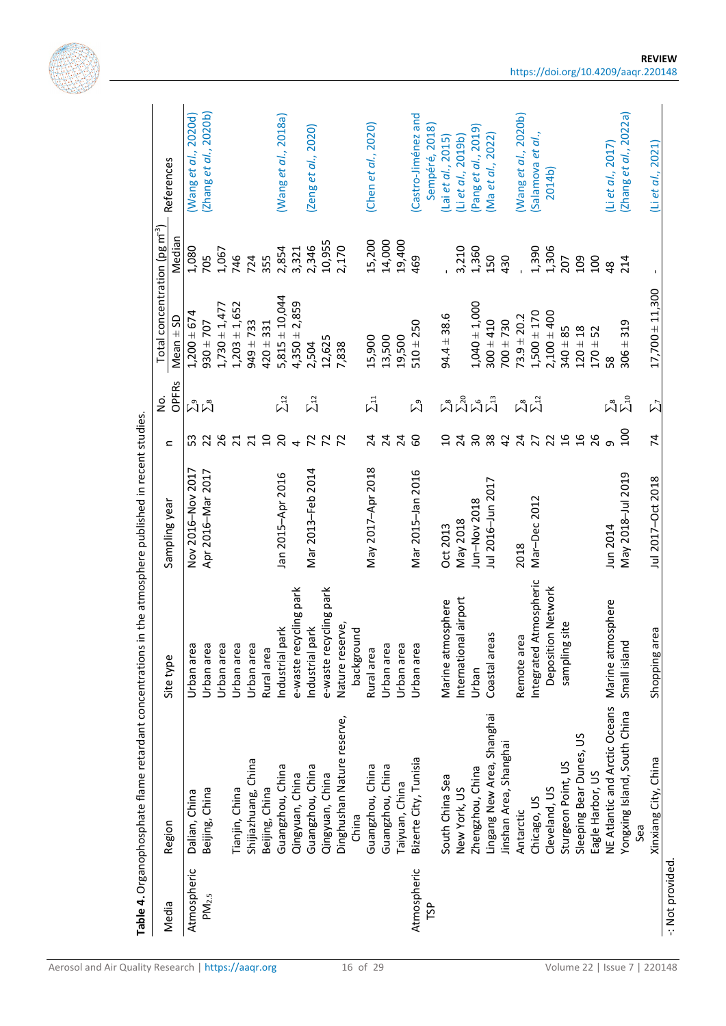|                    |                               |                        |                   |                 | ġ                     | Total concentration (pg $m3$ ) |               |                                       |
|--------------------|-------------------------------|------------------------|-------------------|-----------------|-----------------------|--------------------------------|---------------|---------------------------------------|
| Media              | Region                        | Site type              | Sampling year     | $\subset$       | OPFRS                 | $Mean \pm SD$                  | Median        | References                            |
| Atmospheric        | Dalian, China                 | Urban area             | Nov 2016-Nov 2017 | က္က             |                       | $1,200 \pm 674$                | 1,080         | (Wang et al., 2020d)                  |
| $PM_{2.5}$         | Beijing, China                | Urban area             | Apr 2016-Mar 2017 | 22              | ผิผ็                  | $930 \pm 707$                  | 705           | (Zhang et al., 2020b)                 |
|                    |                               | Urban area             |                   | 26              |                       | $1,730 \pm 1,477$              | 1,067         |                                       |
|                    | Tianjin, China                | Urban area             |                   | $\overline{21}$ |                       | $1,203 \pm 1,652$              | 746           |                                       |
|                    | Shijiazhuang, China           | Urban area             |                   | 21              |                       | $949 \pm 733$                  | 724           |                                       |
|                    | Beijing, China                | Rural area             |                   | $\overline{a}$  |                       | $420 \pm 331$                  | 355           |                                       |
|                    | Guangzhou, China              | Industrial park        | Jan 2015-Apr 2016 | $\overline{c}$  | $\Sigma^{12}$         | $5,815 \pm 10,044$             | 2,854         | (Wang et al., 2018a)                  |
|                    | Qingyuan, China               | e-waste recycling park |                   | $\overline{a}$  |                       | $4,350 \pm 2,859$              | 3,321         |                                       |
|                    | Guangzhou, China              | Industrial park        | Mar 2013-Feb 2014 | $\overline{z}$  | $\Sigma^{12}$         | 2,504                          | 2,346         | (Zeng et al., 2020)                   |
|                    | Qingyuan, China               | e-waste recycling park |                   | $\mathcal{L}$   |                       | 12,625                         | 10,955        |                                       |
|                    | Dinghushan Nature reserve,    | Nature reserve,        |                   | $\overline{z}$  |                       | 7,838                          | 2,170         |                                       |
|                    | China                         | background             |                   |                 |                       |                                |               |                                       |
|                    | Guangzhou, China              | Rural area             | May 2017-Apr 2018 | 74              | $\Sigma$ <sup>1</sup> | 15,900                         | 15,200        | (Chen et al., 2020)                   |
|                    | Guangzhou, China              | Urban area             |                   |                 |                       | 13,500                         | 14,000        |                                       |
|                    | Taiyuan, China                | Urban area             |                   | 24              |                       | 19,500                         | 19,400        |                                       |
| Atmospheric<br>ΓŚΡ | Bizerte City, Tunisia         | Urban area             | Mar 2015-Jan 2016 | 60              | $\tilde{\Sigma}^9$    | $510 + 250$                    | 469           | (Castro-Jiménez and<br>Sempéré, 2018) |
|                    | South China Sea               | Marine atmosphere      | Oct 2013          | $\overline{a}$  |                       | $94.4 \pm 38.6$                |               | (Lai <i>et al.</i> , 2015)            |
|                    | New York, US                  | International airport  | May 2018          | 24              | ผืนผืน                |                                | 3,210         | (Li et al., 2019b)                    |
|                    | Zhengzhou, China              | Urban                  | Jun-Nov 2018      | $30^{\circ}$    |                       | $1,040 \pm 1,000$              | 1,360         | (Pang et al., 2019)                   |
|                    | Lingang New Area, Shanghai    | Coastal areas          | Jul 2016-Jun 2017 | 38              |                       | $300 \pm 410$                  | 150           | (Ma et al., 2022)                     |
|                    | Jinshan Area, Shanghai        |                        |                   | $\overline{4}$  |                       | $700 \pm 730$                  | 430           |                                       |
|                    | Antarctic                     | Б<br>Remote are        | 2018              | $\overline{24}$ |                       | $73.9 \pm 20.2$                |               | (Wang et al., 2020b)                  |
|                    | Chicago, US                   | Integrated Atmospheric | Mar-Dec 2012      | $\overline{27}$ | ผ็ผ็                  | $1,500 \pm 170$                | 1,390         | (Salamova et al.,                     |
|                    | Cleveland, US                 | Deposition Network     |                   | 22              |                       | $2,100 \pm 400$                | 1,306         | 2014b)                                |
|                    | Sturgeon Point, US            | site<br>sampling       |                   | $\frac{9}{2}$   |                       | $340 \pm 85$                   | 207           |                                       |
|                    | Sleeping Bear Dunes, US       |                        |                   | 16              |                       | $120 \pm 18$                   | 109           |                                       |
|                    | Eagle Harbor, US              |                        |                   | 26              |                       | $170 + 52$                     | 100           |                                       |
|                    | NE Atlantic and Arctic Oceans | osphere<br>Marine atm  | Jun 2014          | თ               |                       | 38                             | $\frac{8}{4}$ | (Li et al., 2017)                     |
|                    | Yongxing Island, South China  | Small island           | May 2018-Jul 2019 | 100             | มีม็                  | $306 \pm 319$                  | 214           | (Zhang et al., 2022a)                 |
|                    | Sea                           |                        |                   |                 |                       |                                |               |                                       |
|                    | Xinxiang City, China          |                        |                   |                 | $\sum$                |                                |               |                                       |



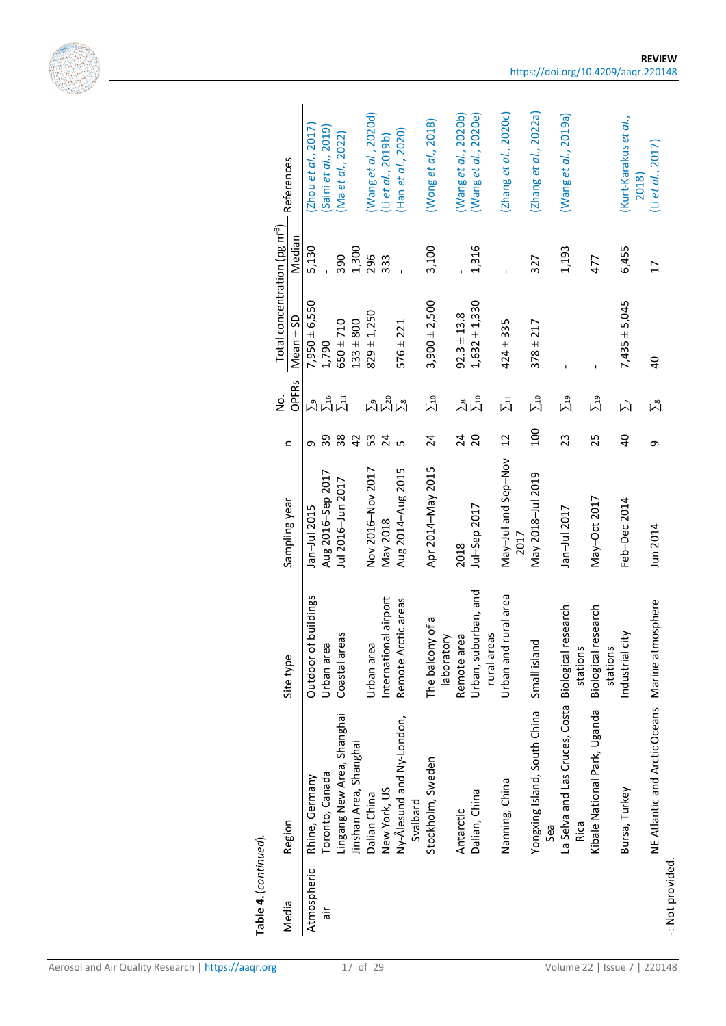|             |                                        |                                     |                             |                 | <u>ò</u>               | Total concentration (pg $m^3$ ) |              |                                |
|-------------|----------------------------------------|-------------------------------------|-----------------------------|-----------------|------------------------|---------------------------------|--------------|--------------------------------|
| Media       | Region                                 | Site type                           | Sampling year               | $\subset$       | <b>OPFRS</b>           | $Mean \pm SD$                   | Median       | References                     |
| Atmospheric | Rhine, Germany                         | buildings<br>Outdoor of             | Jan-Jul 2015                | თ.              |                        | $7,950 \pm 6,550$               | 5,130        | Zhou et al., 2017              |
| ы'n         | Toronto, Canada                        | Urban area                          | Aug 2016-Sep 2017           | 39              |                        | 1,790                           |              | Saini et al., 2019)            |
|             | Lingang New Area, Shanghai             | Coastal areas                       | Jul 2016-Jun 2017           | 38              | ผ็น็                   | $650 \pm 710$                   | 390          | (Ma et al., 2022)              |
|             | Jinshan Area, Shanghai                 |                                     |                             | $\overline{4}$  |                        | $133 + 800$                     | 1,300        |                                |
|             | Dalian China                           | Urban area                          | Nov 2016-Nov 2017           | 53              |                        | $829 \pm 1,250$                 | 296          | (Wang et al., 2020d)           |
|             | New York, US                           | International airport               | May 2018                    | 24              |                        |                                 | 333          | (Li et al., 2019b)             |
|             | Ny-Ålesund and Ny-London,              | Remote Arctic areas                 | Aug 2014-Aug 2015           | ഥ               | ม็ม็ม็                 | $576 \pm 221$                   | $\mathbf{I}$ | (Han et al., 2020)             |
|             | Svalbard                               |                                     |                             |                 |                        |                                 |              |                                |
|             | Stockholm, Sweden                      | The balcony of a<br>laboratory      | Apr 2014-May 2015           | 24              | $\Sigma$ 10            | $3,900 \pm 2,500$               | 3,100        | (Wong et al., 2018)            |
|             | Antarctic                              | Remote area                         | 2018                        |                 |                        | $92.3 \pm 13.8$                 |              | (Wanget al., 2020b)            |
|             | Dalian, China                          | Urban, suburban, and<br>rural areas | Jul-Sep 2017                | $rac{2}{2}$     | $\sum_{\Delta n}$      | $1,632 \pm 1,330$               | 1,316        | (Wang et al., 2020e)           |
|             | Nanning, China                         | rural area<br>Urban and             | May-Jul and Sep-Nov<br>2017 | $\overline{12}$ | $\Sigma$ <sup>1</sup>  | $424 \pm 335$                   |              | (Zhang et al., 2020c)          |
|             | Yongxing Island, South China           | Small island                        | May 2018-Jul 2019           | 100             | $\Sigma$ 10            | $378 \pm 217$                   | 327          | (Zhang et al., 2022a)          |
|             | Sea                                    |                                     |                             |                 |                        |                                 |              |                                |
|             | La Selva and Las Cruces, Costa<br>Rica | Biological research<br>stations     | Jan-Jul 2017                | 23              | $\Sigma$ <sup>19</sup> |                                 | 1,193        | (Wang et al., 2019a)           |
|             | Kibale National Park, Uganda           | Biological research<br>stations     | May-Oct 2017                | 25              | $\Sigma$ <sup>19</sup> |                                 | 477          |                                |
|             | Bursa, Turkey                          | Industrial city                     | Feb-Dec 2014                | $\overline{a}$  | $\vec{\Sigma}$         | $7,435 \pm 5,045$               | 6,455        | (Kurt-Karakus et al.,<br>2018) |
|             | NE Atlantic and Arctic Oceans          | Marine atmosphere                   | Jun 2014                    | თ               | $\sum_{8}$             |                                 |              |                                |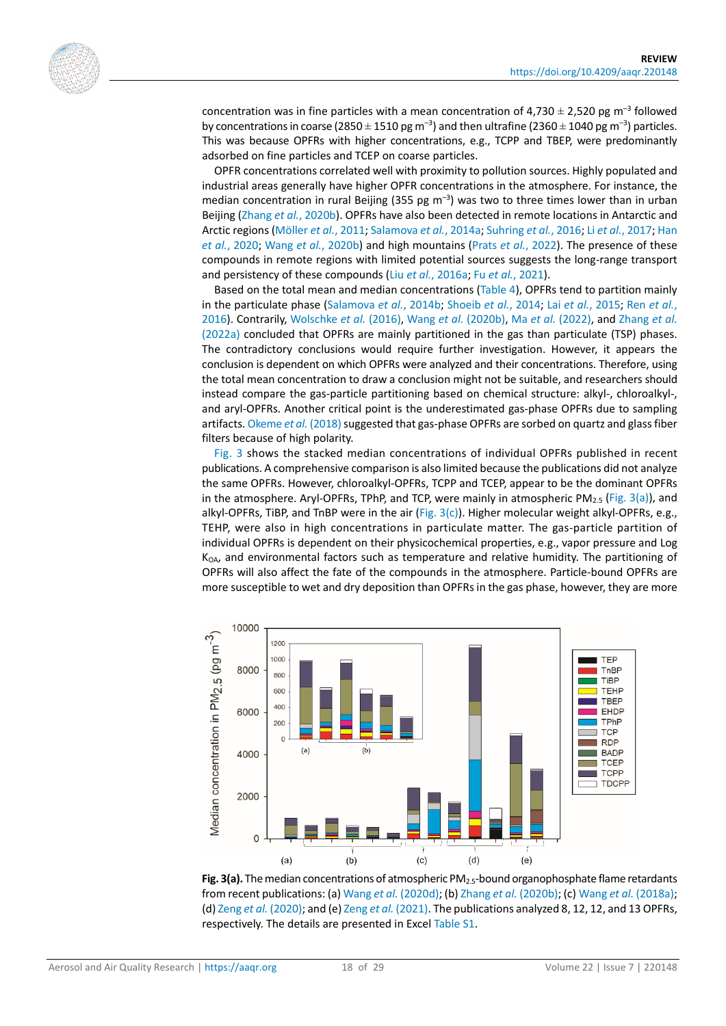

concentration was in fine particles with a mean concentration of 4,730  $\pm$  2,520 pg m<sup>-3</sup> followed by concentrations in coarse (2850  $\pm$  1510 pg m<sup>-3</sup>) and then ultrafine (2360  $\pm$  1040 pg m<sup>-3</sup>) particles. This was because OPFRs with higher concentrations, e.g., TCPP and TBEP, were predominantly adsorbed on fine particles and TCEP on coarse particles.

OPFR concentrations correlated well with proximity to pollution sources. Highly populated and industrial areas generally have higher OPFR concentrations in the atmosphere. For instance, the median concentration in rural Beijing (355 pg  $m^{-3}$ ) was two to three times lower than in urban Beijing (Zhang *et al.*[, 2020b\)](#page-27-13). OPFRs have also been detected in remote locations in Antarctic and Arctic regions [\(Möller](#page-24-14) *et al.*, 2011[; Salamova](#page-25-13) *et al.*, 2014a[; Suhring](#page-25-4) *et al.*, 2016; Li *et al.*[, 2017;](#page-23-12) [Han](#page-22-15)  *et al.*[, 2020;](#page-22-15) Wang *et al.*[, 2020b\)](#page-26-11) and high mountains (Prats *et al.*[, 2022\)](#page-25-12). The presence of these compounds in remote regions with limited potential sources suggests the long-range transport and persistency of these compounds (Liu *et al.*[, 2016a;](#page-23-13) Fu *et al.*[, 2021\)](#page-22-16).

Based on the total mean and median concentrations (Table 4), OPFRs tend to partition mainly in the particulate phase [\(Salamova](#page-25-11) *et al.*, 2014b; [Shoeib](#page-25-14) *et al.*, 2014; Lai *et al.*[, 2015;](#page-23-14) Ren *[et al.](#page-25-15)*, [2016\)](#page-25-15). Contrarily, [Wolschke](#page-26-9) *et al.* (2016), Wang *et al.* [\(2020b\),](#page-26-11) Ma *et al.* [\(2022\),](#page-24-2) and [Zhang](#page-27-14) *et al.* [\(2022a\)](#page-27-14) concluded that OPFRs are mainly partitioned in the gas than particulate (TSP) phases. The contradictory conclusions would require further investigation. However, it appears the conclusion is dependent on which OPFRs were analyzed and their concentrations. Therefore, using the total mean concentration to draw a conclusion might not be suitable, and researchers should instead compare the gas-particle partitioning based on chemical structure: alkyl-, chloroalkyl-, and aryl-OPFRs. Another critical point is the underestimated gas-phase OPFRs due to sampling artifacts[. Okeme](#page-24-3) *et al.* (2018) suggested that gas-phase OPFRs are sorbed on quartz and glass fiber filters because of high polarity.

[Fig.](#page-17-0) 3 shows the stacked median concentrations of individual OPFRs published in recent publications. A comprehensive comparison is also limited because the publications did not analyze the same OPFRs. However, chloroalkyl-OPFRs, TCPP and TCEP, appear to be the dominant OPFRs in the atmosphere. Aryl-OPFRs, TPhP, and TCP, were mainly in atmospheric PM<sub>2.5</sub> [\(Fig. 3\(a\)\)](#page-17-0), and alkyl-OPFRs, TiBP, and TnBP were in the air (Fig.  $3(c)$ ). Higher molecular weight alkyl-OPFRs, e.g., TEHP, were also in high concentrations in particulate matter. The gas-particle partition of individual OPFRs is dependent on their physicochemical properties, e.g., vapor pressure and Log  $K<sub>OA</sub>$ , and environmental factors such as temperature and relative humidity. The partitioning of OPFRs will also affect the fate of the compounds in the atmosphere. Particle-bound OPFRs are more susceptible to wet and dry deposition than OPFRs in the gas phase, however, they are more

<span id="page-17-0"></span>

**Fig. 3(a).** The median concentrations of atmospheric PM2.5-bound organophosphate flame retardants from recent publications: (a) Wang *et al.* [\(2020d\);](#page-26-12) (b) Zhang *et al.* [\(2020b\);](#page-27-13) (c) Wang *et al.* [\(2018a\);](#page-26-10) (d) Zeng *et al.* [\(2020\);](#page-27-11) and (e) Zeng *et al.* [\(2021\).](#page-27-12) The publications analyzed 8, 12, 12, and 13 OPFRs, respectively. The details are presented in Excel [Table S1.](https://doi.org/10.4209/aaqr.220148)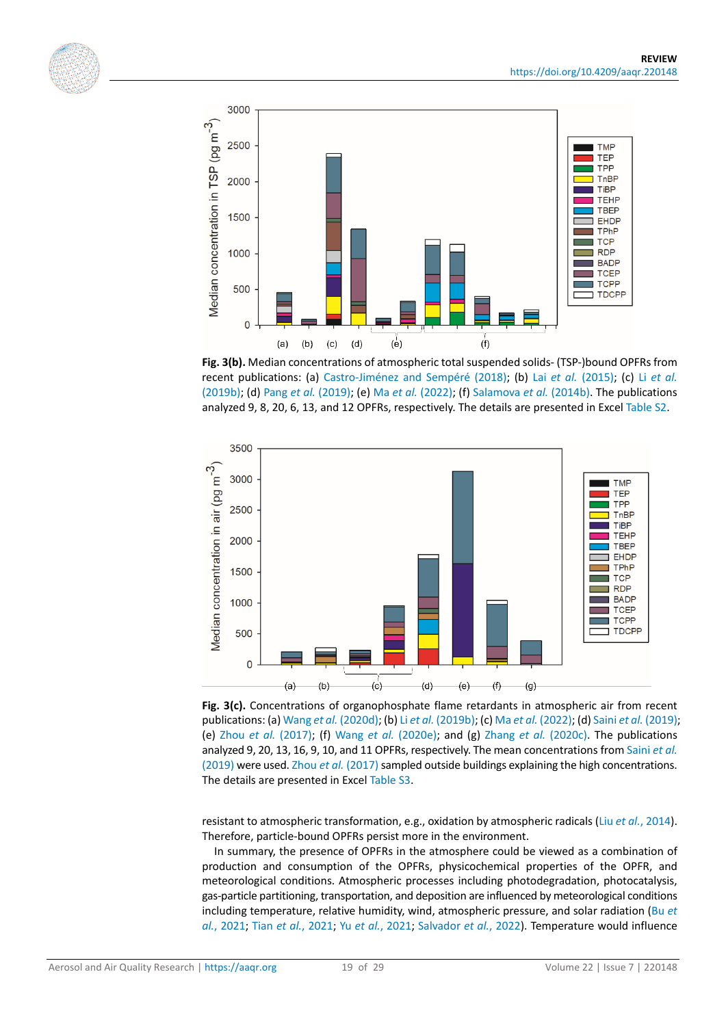



**Fig. 3(b).** Median concentrations of atmospheric total suspended solids- (TSP-)bound OPFRs from recent publications: (a) [Castro-Jiménez and Sempéré \(2018\);](#page-20-11) (b) Lai *et al.* [\(2015\);](#page-23-14) (c) Li *[et al.](#page-23-1)* [\(2019b\);](#page-23-1) (d) Pang *et al.* [\(2019\);](#page-24-15) (e) Ma *et al.* [\(2022\);](#page-24-2) (f) [Salamova](#page-25-11) *et al.* (2014b). The publications analyzed 9, 8, 20, 6, 13, and 12 OPFRs, respectively. The details are presented in Exce[l Table S2.](https://doi.org/10.4209/aaqr.220148)

<span id="page-18-0"></span>

Fig. 3(c). Concentrations of organophosphate flame retardants in atmospheric air from recent publications: (a) Wang *et al.* [\(2020d\);](#page-26-12) (b) Li *et al.* [\(2019b\);](#page-23-1) (c) Ma *et al.* [\(2022\);](#page-24-2) (d) Saini *et al.* [\(2019\);](#page-25-16) (e) Zhou *et al.* [\(2017\);](#page-28-4) (f) Wang *et al.* [\(2020e\);](#page-26-8) and (g) Zhang *et al.* [\(2020c\).](#page-28-2) The publications analyzed 9, 20, 13, 16, 9, 10, and 11 OPFRs, respectively. The mean concentrations fro[m Saini](#page-25-16) *et al.* [\(2019\)](#page-25-16) were used. Zhou *et al.* [\(2017\)](#page-28-4) sampled outside buildings explaining the high concentrations. The details are presented in Exce[l Table S3.](https://doi.org/10.4209/aaqr.220148)

resistant to atmospheric transformation, e.g., oxidation by atmospheric radicals (Liu *et al.*[, 2014\)](#page-23-15). Therefore, particle-bound OPFRs persist more in the environment.

In summary, the presence of OPFRs in the atmosphere could be viewed as a combination of production and consumption of the OPFRs, physicochemical properties of the OPFR, and meteorological conditions. Atmospheric processes including photodegradation, photocatalysis, gas-particle partitioning, transportation, and deposition are influenced by meteorological conditions including temperature, relative humidity, wind, atmospheric pressure, and solar radiation [\(Bu](#page-20-13) *et al.*[, 2021;](#page-20-13) Tian *et al.*[, 2021;](#page-26-13) Yu *et al.*[, 2021;](#page-27-15) [Salvador](#page-25-17) *et al.*, 2022). Temperature would influence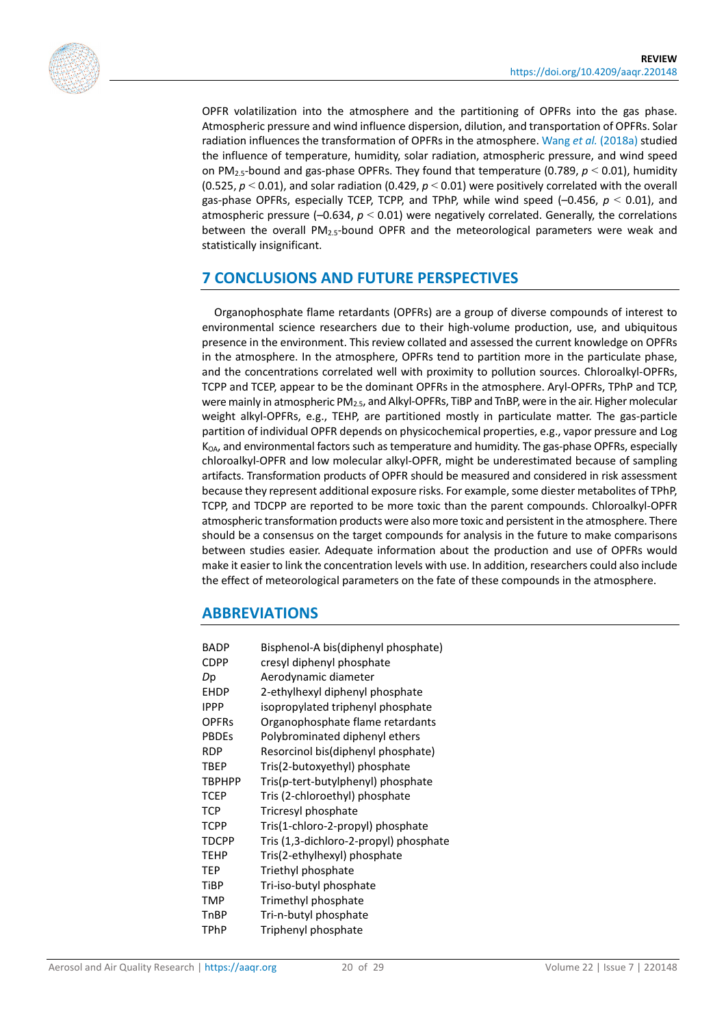

OPFR volatilization into the atmosphere and the partitioning of OPFRs into the gas phase. Atmospheric pressure and wind influence dispersion, dilution, and transportation of OPFRs. Solar radiation influences the transformation of OPFRs in the atmosphere. Wang *et al.* [\(2018a\)](#page-26-10) studied the influence of temperature, humidity, solar radiation, atmospheric pressure, and wind speed on PM2.5-bound and gas-phase OPFRs. They found that temperature (0.789, *p* < 0.01), humidity (0.525,  $p < 0.01$ ), and solar radiation (0.429,  $p < 0.01$ ) were positively correlated with the overall gas-phase OPFRs, especially TCEP, TCPP, and TPhP, while wind speed (–0.456, *p* < 0.01), and atmospheric pressure (–0.634, *p* < 0.01) were negatively correlated. Generally, the correlations between the overall PM2.5-bound OPFR and the meteorological parameters were weak and statistically insignificant.

## **7 CONCLUSIONS AND FUTURE PERSPECTIVES**

Organophosphate flame retardants (OPFRs) are a group of diverse compounds of interest to environmental science researchers due to their high-volume production, use, and ubiquitous presence in the environment. This review collated and assessed the current knowledge on OPFRs in the atmosphere. In the atmosphere, OPFRs tend to partition more in the particulate phase, and the concentrations correlated well with proximity to pollution sources. Chloroalkyl-OPFRs, TCPP and TCEP, appear to be the dominant OPFRs in the atmosphere. Aryl-OPFRs, TPhP and TCP, were mainly in atmospheric PM<sub>2.5</sub>, and Alkyl-OPFRs, TiBP and TnBP, were in the air. Higher molecular weight alkyl-OPFRs, e.g., TEHP, are partitioned mostly in particulate matter. The gas-particle partition of individual OPFR depends on physicochemical properties, e.g., vapor pressure and Log K<sub>OA</sub>, and environmental factors such as temperature and humidity. The gas-phase OPFRs, especially chloroalkyl-OPFR and low molecular alkyl-OPFR, might be underestimated because of sampling artifacts. Transformation products of OPFR should be measured and considered in risk assessment because they represent additional exposure risks. For example, some diester metabolites of TPhP, TCPP, and TDCPP are reported to be more toxic than the parent compounds. Chloroalkyl-OPFR atmospheric transformation products were also more toxic and persistent in the atmosphere. There should be a consensus on the target compounds for analysis in the future to make comparisons between studies easier. Adequate information about the production and use of OPFRs would make it easier to link the concentration levels with use. In addition, researchers could also include the effect of meteorological parameters on the fate of these compounds in the atmosphere.

## **ABBREVIATIONS**

| <b>BADP</b>   | Bisphenol-A bis(diphenyl phosphate)    |
|---------------|----------------------------------------|
| <b>CDPP</b>   | cresyl diphenyl phosphate              |
| Dp            | Aerodynamic diameter                   |
| <b>EHDP</b>   | 2-ethylhexyl diphenyl phosphate        |
| <b>IPPP</b>   | isopropylated triphenyl phosphate      |
| <b>OPFRs</b>  | Organophosphate flame retardants       |
| <b>PBDEs</b>  | Polybrominated diphenyl ethers         |
| <b>RDP</b>    | Resorcinol bis(diphenyl phosphate)     |
| <b>TBEP</b>   | Tris(2-butoxyethyl) phosphate          |
| <b>TBPHPP</b> | Tris(p-tert-butylphenyl) phosphate     |
| <b>TCEP</b>   | Tris (2-chloroethyl) phosphate         |
| <b>TCP</b>    | Tricresyl phosphate                    |
| <b>TCPP</b>   | Tris(1-chloro-2-propyl) phosphate      |
| <b>TDCPP</b>  | Tris (1,3-dichloro-2-propyl) phosphate |
| <b>TEHP</b>   | Tris(2-ethylhexyl) phosphate           |
| TEP           | Triethyl phosphate                     |
| <b>TiBP</b>   | Tri-iso-butyl phosphate                |
| <b>TMP</b>    | Trimethyl phosphate                    |
| TnBP          | Tri-n-butyl phosphate                  |
| TPhP          | Triphenyl phosphate                    |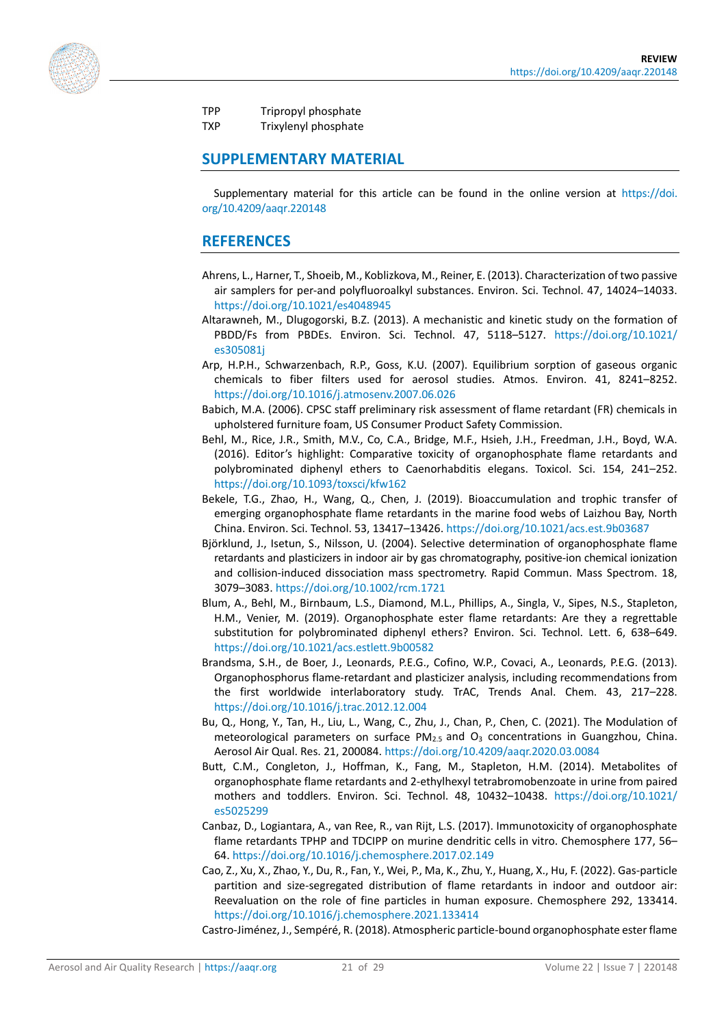

TPP Tripropyl phosphate

TXP Trixylenyl phosphate

#### **SUPPLEMENTARY MATERIAL**

Supplementary material for this article can be found in the online version at [https://doi.](https://doi.org/10.4209/aaqr.220148) [org/10.4209/aaqr.220148](https://doi.org/10.4209/aaqr.220148)

#### **REFERENCES**

- <span id="page-20-8"></span>Ahrens, L., Harner, T., Shoeib, M., Koblizkova, M., Reiner, E. (2013). Characterization of two passive air samplers for per-and polyfluoroalkyl substances. Environ. Sci. Technol. 47, 14024–14033. <https://doi.org/10.1021/es4048945>
- <span id="page-20-1"></span>Altarawneh, M., Dlugogorski, B.Z. (2013). A mechanistic and kinetic study on the formation of PBDD/Fs from PBDEs. Environ. Sci. Technol. 47, 5118–5127. [https://doi.org/10.1021/](https://doi.org/10.1021/es305081j) [es305081j](https://doi.org/10.1021/es305081j)
- <span id="page-20-9"></span>Arp, H.P.H., Schwarzenbach, R.P., Goss, K.U. (2007). Equilibrium sorption of gaseous organic chemicals to fiber filters used for aerosol studies. Atmos. Environ. 41, 8241–8252. <https://doi.org/10.1016/j.atmosenv.2007.06.026>
- <span id="page-20-7"></span>Babich, M.A. (2006). CPSC staff preliminary risk assessment of flame retardant (FR) chemicals in upholstered furniture foam, US Consumer Product Safety Commission.
- <span id="page-20-6"></span>Behl, M., Rice, J.R., Smith, M.V., Co, C.A., Bridge, M.F., Hsieh, J.H., Freedman, J.H., Boyd, W.A. (2016). Editor's highlight: Comparative toxicity of organophosphate flame retardants and polybrominated diphenyl ethers to Caenorhabditis elegans. Toxicol. Sci. 154, 241–252. <https://doi.org/10.1093/toxsci/kfw162>
- <span id="page-20-3"></span>Bekele, T.G., Zhao, H., Wang, Q., Chen, J. (2019). Bioaccumulation and trophic transfer of emerging organophosphate flame retardants in the marine food webs of Laizhou Bay, North China. Environ. Sci. Technol. 53, 13417–13426.<https://doi.org/10.1021/acs.est.9b03687>
- <span id="page-20-10"></span>Björklund, J., Isetun, S., Nilsson, U. (2004). Selective determination of organophosphate flame retardants and plasticizers in indoor air by gas chromatography, positive-ion chemical ionization and collision-induced dissociation mass spectrometry. Rapid Commun. Mass Spectrom. 18, 3079–3083.<https://doi.org/10.1002/rcm.1721>
- <span id="page-20-0"></span>Blum, A., Behl, M., Birnbaum, L.S., Diamond, M.L., Phillips, A., Singla, V., Sipes, N.S., Stapleton, H.M., Venier, M. (2019). Organophosphate ester flame retardants: Are they a regrettable substitution for polybrominated diphenyl ethers? Environ. Sci. Technol. Lett. 6, 638–649. <https://doi.org/10.1021/acs.estlett.9b00582>
- <span id="page-20-2"></span>Brandsma, S.H., de Boer, J., Leonards, P.E.G., Cofino, W.P., Covaci, A., Leonards, P.E.G. (2013). Organophosphorus flame-retardant and plasticizer analysis, including recommendations from the first worldwide interlaboratory study. TrAC, Trends Anal. Chem. 43, 217–228. <https://doi.org/10.1016/j.trac.2012.12.004>
- <span id="page-20-13"></span>Bu, Q., Hong, Y., Tan, H., Liu, L., Wang, C., Zhu, J., Chan, P., Chen, C. (2021). The Modulation of meteorological parameters on surface  $PM_{2.5}$  and  $O_3$  concentrations in Guangzhou, China. Aerosol Air Qual. Res. 21, 200084[. https://doi.org/10.4209/aaqr.2020.03.0084](https://doi.org/10.4209/aaqr.2020.03.0084)
- <span id="page-20-4"></span>Butt, C.M., Congleton, J., Hoffman, K., Fang, M., Stapleton, H.M. (2014). Metabolites of organophosphate flame retardants and 2-ethylhexyl tetrabromobenzoate in urine from paired mothers and toddlers. Environ. Sci. Technol. 48, 10432–10438. [https://doi.org/10.1021/](https://doi.org/10.1021/es5025299) [es5025299](https://doi.org/10.1021/es5025299)
- <span id="page-20-5"></span>Canbaz, D., Logiantara, A., van Ree, R., van Rijt, L.S. (2017). Immunotoxicity of organophosphate flame retardants TPHP and TDCIPP on murine dendritic cells in vitro. Chemosphere 177, 56– 64[. https://doi.org/10.1016/j.chemosphere.2017.02.149](https://doi.org/10.1016/j.chemosphere.2017.02.149)
- <span id="page-20-12"></span>Cao, Z., Xu, X., Zhao, Y., Du, R., Fan, Y., Wei, P., Ma, K., Zhu, Y., Huang, X., Hu, F. (2022). Gas-particle partition and size-segregated distribution of flame retardants in indoor and outdoor air: Reevaluation on the role of fine particles in human exposure. Chemosphere 292, 133414. <https://doi.org/10.1016/j.chemosphere.2021.133414>

<span id="page-20-11"></span>Castro-Jiménez, J., Sempéré, R. (2018). Atmospheric particle-bound organophosphate ester flame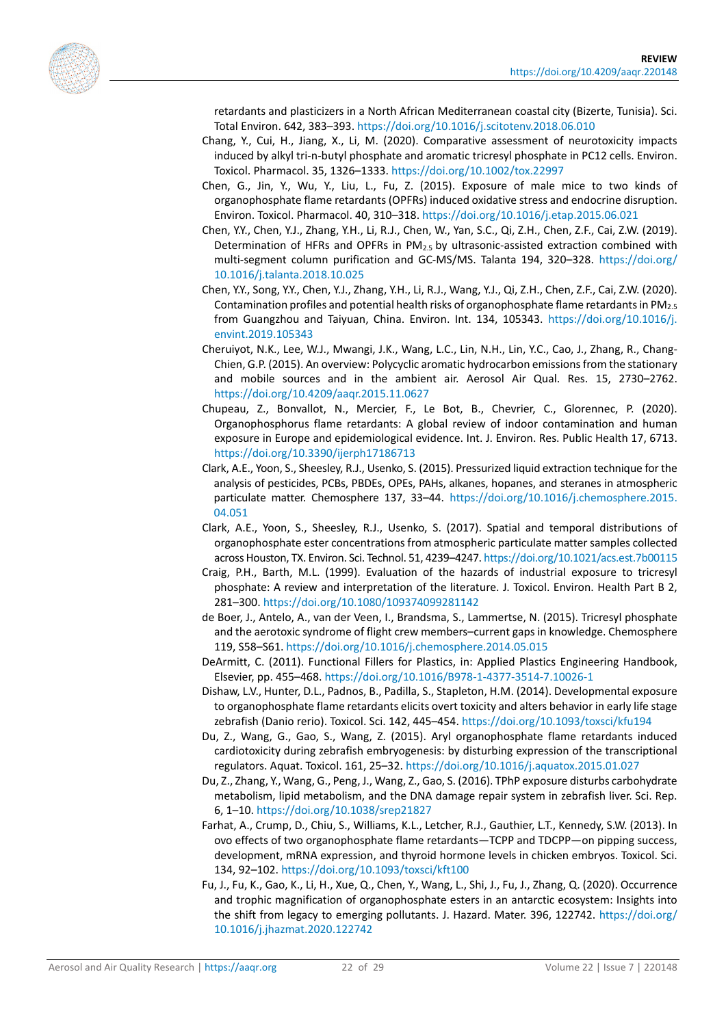<span id="page-21-13"></span><span id="page-21-5"></span><span id="page-21-3"></span>

retardants and plasticizers in a North African Mediterranean coastal city (Bizerte, Tunisia). Sci. Total Environ. 642, 383–393.<https://doi.org/10.1016/j.scitotenv.2018.06.010>

- Chang, Y., Cui, H., Jiang, X., Li, M. (2020). Comparative assessment of neurotoxicity impacts induced by alkyl tri-n-butyl phosphate and aromatic tricresyl phosphate in PC12 cells. Environ. Toxicol. Pharmacol. 35, 1326–1333.<https://doi.org/10.1002/tox.22997>
- Chen, G., Jin, Y., Wu, Y., Liu, L., Fu, Z. (2015). Exposure of male mice to two kinds of organophosphate flame retardants (OPFRs) induced oxidative stress and endocrine disruption. Environ. Toxicol. Pharmacol. 40, 310–318[. https://doi.org/10.1016/j.etap.2015.06.021](https://doi.org/10.1016/j.etap.2015.06.021)
- Chen, Y.Y., Chen, Y.J., Zhang, Y.H., Li, R.J., Chen, W., Yan, S.C., Qi, Z.H., Chen, Z.F., Cai, Z.W. (2019). Determination of HFRs and OPFRs in  $PM<sub>2.5</sub>$  by ultrasonic-assisted extraction combined with multi-segment column purification and GC-MS/MS. Talanta 194, 320–328. [https://doi.org/](https://doi.org/10.1016/j.talanta.2018.10.025) [10.1016/j.talanta.2018.10.025](https://doi.org/10.1016/j.talanta.2018.10.025)
- <span id="page-21-14"></span>Chen, Y.Y., Song, Y.Y., Chen, Y.J., Zhang, Y.H., Li, R.J., Wang, Y.J., Qi, Z.H., Chen, Z.F., Cai, Z.W. (2020). Contamination profiles and potential health risks of organophosphate flame retardants in PM<sub>2.5</sub> from Guangzhou and Taiyuan, China. Environ. Int. 134, 105343. [https://doi.org/10.1016/j.](https://doi.org/10.1016/j.envint.2019.105343) [envint.2019.105343](https://doi.org/10.1016/j.envint.2019.105343)
- <span id="page-21-12"></span>Cheruiyot, N.K., Lee, W.J., Mwangi, J.K., Wang, L.C., Lin, N.H., Lin, Y.C., Cao, J., Zhang, R., Chang-Chien, G.P. (2015). An overview: Polycyclic aromatic hydrocarbon emissions from the stationary and mobile sources and in the ambient air. Aerosol Air Qual. Res. 15, 2730–2762. <https://doi.org/10.4209/aaqr.2015.11.0627>
- <span id="page-21-2"></span>Chupeau, Z., Bonvallot, N., Mercier, F., Le Bot, B., Chevrier, C., Glorennec, P. (2020). Organophosphorus flame retardants: A global review of indoor contamination and human exposure in Europe and epidemiological evidence. Int. J. Environ. Res. Public Health 17, 6713. <https://doi.org/10.3390/ijerph17186713>
- <span id="page-21-11"></span>Clark, A.E., Yoon, S., Sheesley, R.J., Usenko, S. (2015). Pressurized liquid extraction technique for the analysis of pesticides, PCBs, PBDEs, OPEs, PAHs, alkanes, hopanes, and steranes in atmospheric particulate matter. Chemosphere 137, 33–44. [https://doi.org/10.1016/j.chemosphere.2015.](https://doi.org/10.1016/j.chemosphere.2015.04.051) [04.051](https://doi.org/10.1016/j.chemosphere.2015.04.051)
- Clark, A.E., Yoon, S., Sheesley, R.J., Usenko, S. (2017). Spatial and temporal distributions of organophosphate ester concentrations from atmospheric particulate matter samples collected across Houston, TX. Environ. Sci. Technol. 51, 4239–4247[. https://doi.org/10.1021/acs.est.7b00115](https://doi.org/10.1021/acs.est.7b00115)
- <span id="page-21-6"></span>Craig, P.H., Barth, M.L. (1999). Evaluation of the hazards of industrial exposure to tricresyl phosphate: A review and interpretation of the literature. J. Toxicol. Environ. Health Part B 2, 281–300.<https://doi.org/10.1080/109374099281142>
- <span id="page-21-7"></span>de Boer, J., Antelo, A., van der Veen, I., Brandsma, S., Lammertse, N. (2015). Tricresyl phosphate and the aerotoxic syndrome of flight crew members–current gaps in knowledge. Chemosphere 119, S58–S61.<https://doi.org/10.1016/j.chemosphere.2014.05.015>
- <span id="page-21-0"></span>DeArmitt, C. (2011). Functional Fillers for Plastics, in: Applied Plastics Engineering Handbook, Elsevier, pp. 455–468[. https://doi.org/10.1016/B978-1-4377-3514-7.10026-1](https://doi.org/10.1016/B978-1-4377-3514-7.10026-1)
- <span id="page-21-9"></span>Dishaw, L.V., Hunter, D.L., Padnos, B., Padilla, S., Stapleton, H.M. (2014). Developmental exposure to organophosphate flame retardants elicits overt toxicity and alters behavior in early life stage zebrafish (Danio rerio). Toxicol. Sci. 142, 445–454.<https://doi.org/10.1093/toxsci/kfu194>
- <span id="page-21-1"></span>Du, Z., Wang, G., Gao, S., Wang, Z. (2015). Aryl organophosphate flame retardants induced cardiotoxicity during zebrafish embryogenesis: by disturbing expression of the transcriptional regulators. Aquat. Toxicol. 161, 25–32.<https://doi.org/10.1016/j.aquatox.2015.01.027>
- <span id="page-21-4"></span>Du, Z., Zhang, Y., Wang, G., Peng, J., Wang, Z., Gao, S. (2016). TPhP exposure disturbs carbohydrate metabolism, lipid metabolism, and the DNA damage repair system in zebrafish liver. Sci. Rep. 6, 1–10[. https://doi.org/10.1038/srep21827](https://doi.org/10.1038/srep21827)
- <span id="page-21-8"></span>Farhat, A., Crump, D., Chiu, S., Williams, K.L., Letcher, R.J., Gauthier, L.T., Kennedy, S.W. (2013). In ovo effects of two organophosphate flame retardants—TCPP and TDCPP—on pipping success, development, mRNA expression, and thyroid hormone levels in chicken embryos. Toxicol. Sci. 134, 92–102.<https://doi.org/10.1093/toxsci/kft100>
- <span id="page-21-10"></span>Fu, J., Fu, K., Gao, K., Li, H., Xue, Q., Chen, Y., Wang, L., Shi, J., Fu, J., Zhang, Q. (2020). Occurrence and trophic magnification of organophosphate esters in an antarctic ecosystem: Insights into the shift from legacy to emerging pollutants. J. Hazard. Mater. 396, 122742. [https://doi.org/](https://doi.org/10.1016/j.jhazmat.2020.122742) [10.1016/j.jhazmat.2020.122742](https://doi.org/10.1016/j.jhazmat.2020.122742)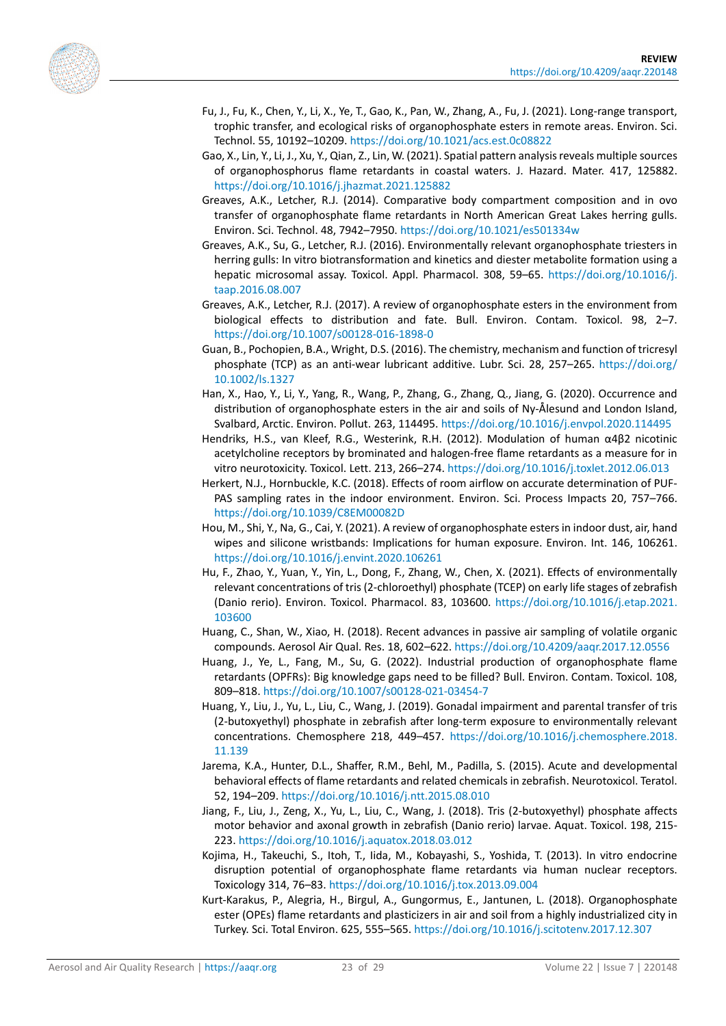<span id="page-22-16"></span><span id="page-22-4"></span><span id="page-22-3"></span>

- Fu, J., Fu, K., Chen, Y., Li, X., Ye, T., Gao, K., Pan, W., Zhang, A., Fu, J. (2021). Long-range transport, trophic transfer, and ecological risks of organophosphate esters in remote areas. Environ. Sci. Technol. 55, 10192–10209.<https://doi.org/10.1021/acs.est.0c08822>
- Gao, X., Lin, Y., Li, J., Xu, Y., Qian, Z., Lin, W. (2021). Spatial pattern analysis reveals multiple sources of organophosphorus flame retardants in coastal waters. J. Hazard. Mater. 417, 125882. <https://doi.org/10.1016/j.jhazmat.2021.125882>
- Greaves, A.K., Letcher, R.J. (2014). Comparative body compartment composition and in ovo transfer of organophosphate flame retardants in North American Great Lakes herring gulls. Environ. Sci. Technol. 48, 7942–7950. <https://doi.org/10.1021/es501334w>
- <span id="page-22-11"></span>Greaves, A.K., Su, G., Letcher, R.J. (2016). Environmentally relevant organophosphate triesters in herring gulls: In vitro biotransformation and kinetics and diester metabolite formation using a hepatic microsomal assay. Toxicol. Appl. Pharmacol. 308, 59–65. [https://doi.org/10.1016/j.](https://doi.org/10.1016/j.taap.2016.08.007) [taap.2016.08.007](https://doi.org/10.1016/j.taap.2016.08.007)
- <span id="page-22-12"></span>Greaves, A.K., Letcher, R.J. (2017). A review of organophosphate esters in the environment from biological effects to distribution and fate. Bull. Environ. Contam. Toxicol. 98, 2–7. <https://doi.org/10.1007/s00128-016-1898-0>
- <span id="page-22-10"></span>Guan, B., Pochopien, B.A., Wright, D.S. (2016). The chemistry, mechanism and function of tricresyl phosphate (TCP) as an anti-wear lubricant additive. Lubr. Sci. 28, 257–265. [https://doi.org/](https://doi.org/10.1002/ls.1327) [10.1002/ls.1327](https://doi.org/10.1002/ls.1327)
- <span id="page-22-15"></span>Han, X., Hao, Y., Li, Y., Yang, R., Wang, P., Zhang, G., Zhang, Q., Jiang, G. (2020). Occurrence and distribution of organophosphate esters in the air and soils of Ny-Ålesund and London Island, Svalbard, Arctic. Environ. Pollut. 263, 114495.<https://doi.org/10.1016/j.envpol.2020.114495>
- <span id="page-22-9"></span>Hendriks, H.S., van Kleef, R.G., Westerink, R.H. (2012). Modulation of human α4β2 nicotinic acetylcholine receptors by brominated and halogen-free flame retardants as a measure for in vitro neurotoxicity. Toxicol. Lett. 213, 266–274.<https://doi.org/10.1016/j.toxlet.2012.06.013>
- <span id="page-22-14"></span>Herkert, N.J., Hornbuckle, K.C. (2018). Effects of room airflow on accurate determination of PUF-PAS sampling rates in the indoor environment. Environ. Sci. Process Impacts 20, 757–766. <https://doi.org/10.1039/C8EM00082D>
- <span id="page-22-1"></span>Hou, M., Shi, Y., Na, G., Cai, Y. (2021). A review of organophosphate esters in indoor dust, air, hand wipes and silicone wristbands: Implications for human exposure. Environ. Int. 146, 106261. <https://doi.org/10.1016/j.envint.2020.106261>
- <span id="page-22-5"></span>Hu, F., Zhao, Y., Yuan, Y., Yin, L., Dong, F., Zhang, W., Chen, X. (2021). Effects of environmentally relevant concentrations of tris (2-chloroethyl) phosphate (TCEP) on early life stages of zebrafish (Danio rerio). Environ. Toxicol. Pharmacol. 83, 103600. [https://doi.org/10.1016/j.etap.2021.](https://doi.org/10.1016/j.etap.2021.%E2%80%8B103600) [103600](https://doi.org/10.1016/j.etap.2021.%E2%80%8B103600)
- <span id="page-22-13"></span>Huang, C., Shan, W., Xiao, H. (2018). Recent advances in passive air sampling of volatile organic compounds. Aerosol Air Qual. Res. 18, 602–622.<https://doi.org/10.4209/aaqr.2017.12.0556>
- <span id="page-22-2"></span>Huang, J., Ye, L., Fang, M., Su, G. (2022). Industrial production of organophosphate flame retardants (OPFRs): Big knowledge gaps need to be filled? Bull. Environ. Contam. Toxicol. 108, 809–818.<https://doi.org/10.1007/s00128-021-03454-7>
- <span id="page-22-6"></span>Huang, Y., Liu, J., Yu, L., Liu, C., Wang, J. (2019). Gonadal impairment and parental transfer of tris (2-butoxyethyl) phosphate in zebrafish after long-term exposure to environmentally relevant concentrations. Chemosphere 218, 449–457. [https://doi.org/10.1016/j.chemosphere.2018.](https://doi.org/10.1016/j.chemosphere.2018.11.139) [11.139](https://doi.org/10.1016/j.chemosphere.2018.11.139)
- <span id="page-22-8"></span>Jarema, K.A., Hunter, D.L., Shaffer, R.M., Behl, M., Padilla, S. (2015). Acute and developmental behavioral effects of flame retardants and related chemicals in zebrafish. Neurotoxicol. Teratol. 52, 194–209.<https://doi.org/10.1016/j.ntt.2015.08.010>
- <span id="page-22-7"></span>Jiang, F., Liu, J., Zeng, X., Yu, L., Liu, C., Wang, J. (2018). Tris (2-butoxyethyl) phosphate affects motor behavior and axonal growth in zebrafish (Danio rerio) larvae. Aquat. Toxicol. 198, 215- 223[. https://doi.org/10.1016/j.aquatox.2018.03.012](https://doi.org/10.1016/j.aquatox.2018.03.012)
- <span id="page-22-0"></span>Kojima, H., Takeuchi, S., Itoh, T., Iida, M., Kobayashi, S., Yoshida, T. (2013). In vitro endocrine disruption potential of organophosphate flame retardants via human nuclear receptors. Toxicology 314, 76–83.<https://doi.org/10.1016/j.tox.2013.09.004>
- Kurt-Karakus, P., Alegria, H., Birgul, A., Gungormus, E., Jantunen, L. (2018). Organophosphate ester (OPEs) flame retardants and plasticizers in air and soil from a highly industrialized city in Turkey. Sci. Total Environ. 625, 555–565.<https://doi.org/10.1016/j.scitotenv.2017.12.307>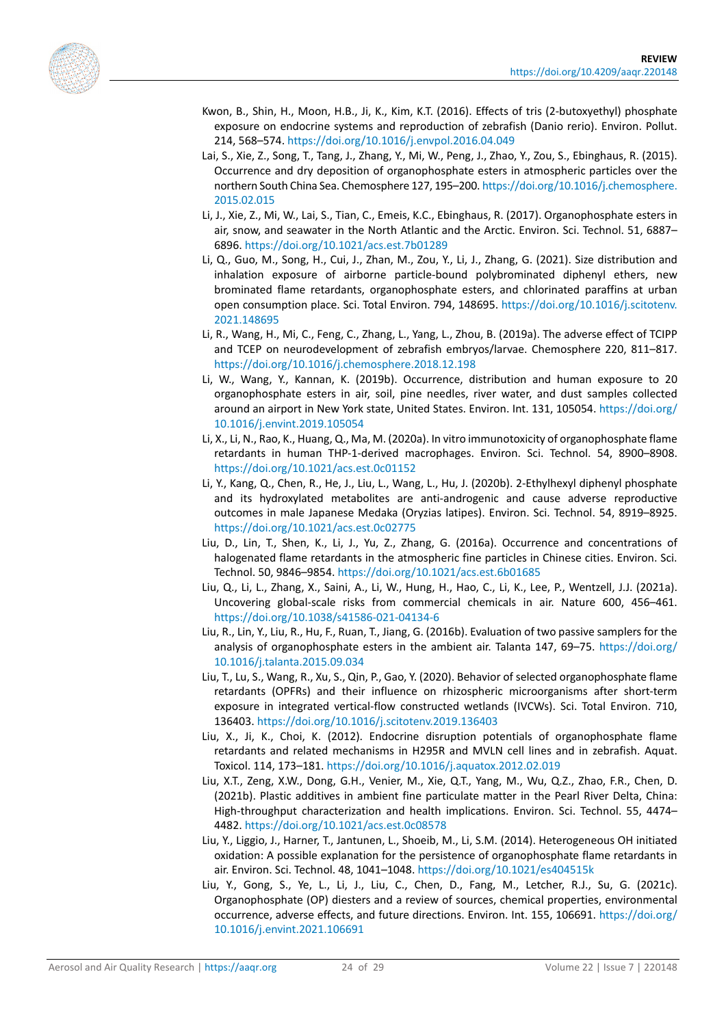<span id="page-23-14"></span><span id="page-23-5"></span><span id="page-23-2"></span>

- Kwon, B., Shin, H., Moon, H.B., Ji, K., Kim, K.T. (2016). Effects of tris (2-butoxyethyl) phosphate exposure on endocrine systems and reproduction of zebrafish (Danio rerio). Environ. Pollut. 214, 568–574.<https://doi.org/10.1016/j.envpol.2016.04.049>
- Lai, S., Xie, Z., Song, T., Tang, J., Zhang, Y., Mi, W., Peng, J., Zhao, Y., Zou, S., Ebinghaus, R. (2015). Occurrence and dry deposition of organophosphate esters in atmospheric particles over the northern South China Sea. Chemosphere 127, 195–200. [https://doi.org/10.1016/j.chemosphere.](https://doi.org/10.1016/j.chemosphere.2015.02.015) [2015.02.015](https://doi.org/10.1016/j.chemosphere.2015.02.015)
- <span id="page-23-12"></span>Li, J., Xie, Z., Mi, W., Lai, S., Tian, C., Emeis, K.C., Ebinghaus, R. (2017). Organophosphate esters in air, snow, and seawater in the North Atlantic and the Arctic. Environ. Sci. Technol. 51, 6887– 6896.<https://doi.org/10.1021/acs.est.7b01289>
- <span id="page-23-11"></span>Li, Q., Guo, M., Song, H., Cui, J., Zhan, M., Zou, Y., Li, J., Zhang, G. (2021). Size distribution and inhalation exposure of airborne particle-bound polybrominated diphenyl ethers, new brominated flame retardants, organophosphate esters, and chlorinated paraffins at urban open consumption place. Sci. Total Environ. 794, 148695. [https://doi.org/10.1016/j.scitotenv.](https://doi.org/10.1016/j.scitotenv.2021.148695) [2021.148695](https://doi.org/10.1016/j.scitotenv.2021.148695)
- <span id="page-23-0"></span>Li, R., Wang, H., Mi, C., Feng, C., Zhang, L., Yang, L., Zhou, B. (2019a). The adverse effect of TCIPP and TCEP on neurodevelopment of zebrafish embryos/larvae. Chemosphere 220, 811–817. <https://doi.org/10.1016/j.chemosphere.2018.12.198>
- <span id="page-23-1"></span>Li, W., Wang, Y., Kannan, K. (2019b). Occurrence, distribution and human exposure to 20 organophosphate esters in air, soil, pine needles, river water, and dust samples collected around an airport in New York state, United States. Environ. Int. 131, 105054[. https://doi.org/](https://doi.org/10.1016/j.envint.2019.105054) [10.1016/j.envint.2019.105054](https://doi.org/10.1016/j.envint.2019.105054)
- <span id="page-23-3"></span>Li, X., Li, N., Rao, K., Huang, Q., Ma, M. (2020a). In vitro immunotoxicity of organophosphate flame retardants in human THP-1-derived macrophages. Environ. Sci. Technol. 54, 8900–8908. <https://doi.org/10.1021/acs.est.0c01152>
- <span id="page-23-6"></span>Li, Y., Kang, Q., Chen, R., He, J., Liu, L., Wang, L., Hu, J. (2020b). 2-Ethylhexyl diphenyl phosphate and its hydroxylated metabolites are anti-androgenic and cause adverse reproductive outcomes in male Japanese Medaka (Oryzias latipes). Environ. Sci. Technol. 54, 8919–8925. <https://doi.org/10.1021/acs.est.0c02775>
- <span id="page-23-13"></span>Liu, D., Lin, T., Shen, K., Li, J., Yu, Z., Zhang, G. (2016a). Occurrence and concentrations of halogenated flame retardants in the atmospheric fine particles in Chinese cities. Environ. Sci. Technol. 50, 9846–9854.<https://doi.org/10.1021/acs.est.6b01685>
- <span id="page-23-9"></span>Liu, Q., Li, L., Zhang, X., Saini, A., Li, W., Hung, H., Hao, C., Li, K., Lee, P., Wentzell, J.J. (2021a). Uncovering global-scale risks from commercial chemicals in air. Nature 600, 456–461. <https://doi.org/10.1038/s41586-021-04134-6>
- <span id="page-23-10"></span>Liu, R., Lin, Y., Liu, R., Hu, F., Ruan, T., Jiang, G. (2016b). Evaluation of two passive samplers for the analysis of organophosphate esters in the ambient air. Talanta 147, 69–75. [https://doi.org/](https://doi.org/10.1016/j.talanta.2015.09.034) [10.1016/j.talanta.2015.09.034](https://doi.org/10.1016/j.talanta.2015.09.034)
- <span id="page-23-7"></span>Liu, T., Lu, S., Wang, R., Xu, S., Qin, P., Gao, Y. (2020). Behavior of selected organophosphate flame retardants (OPFRs) and their influence on rhizospheric microorganisms after short-term exposure in integrated vertical-flow constructed wetlands (IVCWs). Sci. Total Environ. 710, 136403.<https://doi.org/10.1016/j.scitotenv.2019.136403>
- <span id="page-23-8"></span>Liu, X., Ji, K., Choi, K. (2012). Endocrine disruption potentials of organophosphate flame retardants and related mechanisms in H295R and MVLN cell lines and in zebrafish. Aquat. Toxicol. 114, 173–181.<https://doi.org/10.1016/j.aquatox.2012.02.019>
- Liu, X.T., Zeng, X.W., Dong, G.H., Venier, M., Xie, Q.T., Yang, M., Wu, Q.Z., Zhao, F.R., Chen, D. (2021b). Plastic additives in ambient fine particulate matter in the Pearl River Delta, China: High-throughput characterization and health implications. Environ. Sci. Technol. 55, 4474– 4482.<https://doi.org/10.1021/acs.est.0c08578>
- <span id="page-23-15"></span>Liu, Y., Liggio, J., Harner, T., Jantunen, L., Shoeib, M., Li, S.M. (2014). Heterogeneous OH initiated oxidation: A possible explanation for the persistence of organophosphate flame retardants in air. Environ. Sci. Technol. 48, 1041–1048[. https://doi.org/10.1021/es404515k](https://doi.org/10.1021/es404515k)
- <span id="page-23-4"></span>Liu, Y., Gong, S., Ye, L., Li, J., Liu, C., Chen, D., Fang, M., Letcher, R.J., Su, G. (2021c). Organophosphate (OP) diesters and a review of sources, chemical properties, environmental occurrence, adverse effects, and future directions. Environ. Int. 155, 106691. [https://doi.org/](https://doi.org/10.1016/j.envint.2021.106691) [10.1016/j.envint.2021.106691](https://doi.org/10.1016/j.envint.2021.106691)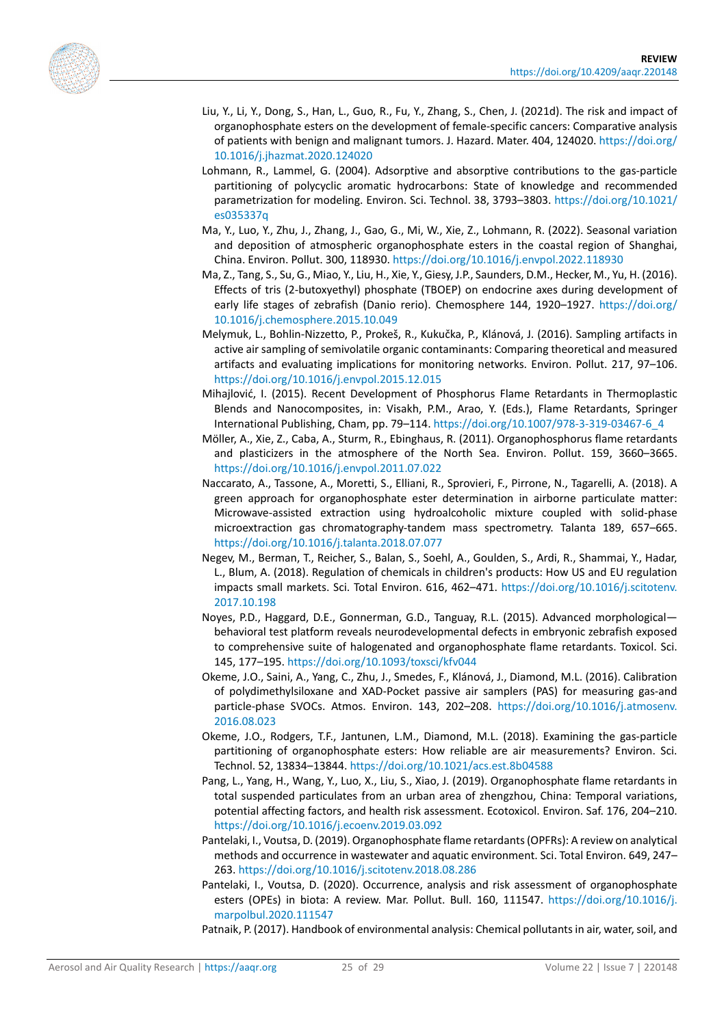<span id="page-24-11"></span><span id="page-24-6"></span>

- Liu, Y., Li, Y., Dong, S., Han, L., Guo, R., Fu, Y., Zhang, S., Chen, J. (2021d). The risk and impact of organophosphate esters on the development of female-specific cancers: Comparative analysis of patients with benign and malignant tumors. J. Hazard. Mater. 404, 124020[. https://doi.org/](https://doi.org/10.1016/j.jhazmat.2020.124020) [10.1016/j.jhazmat.2020.124020](https://doi.org/10.1016/j.jhazmat.2020.124020)
- Lohmann, R., Lammel, G. (2004). Adsorptive and absorptive contributions to the gas-particle partitioning of polycyclic aromatic hydrocarbons: State of knowledge and recommended parametrization for modeling. Environ. Sci. Technol. 38, 3793–3803[. https://doi.org/10.1021/](https://doi.org/10.1021/es035337q) [es035337q](https://doi.org/10.1021/es035337q)
- <span id="page-24-2"></span>Ma, Y., Luo, Y., Zhu, J., Zhang, J., Gao, G., Mi, W., Xie, Z., Lohmann, R. (2022). Seasonal variation and deposition of atmospheric organophosphate esters in the coastal region of Shanghai, China. Environ. Pollut. 300, 118930[. https://doi.org/10.1016/j.envpol.2022.118930](https://doi.org/10.1016/j.envpol.2022.118930)
- <span id="page-24-5"></span>Ma, Z., Tang, S., Su, G., Miao, Y., Liu, H., Xie, Y., Giesy, J.P., Saunders, D.M., Hecker, M., Yu, H. (2016). Effects of tris (2-butoxyethyl) phosphate (TBOEP) on endocrine axes during development of early life stages of zebrafish (Danio rerio). Chemosphere 144, 1920–1927. [https://doi.org/](https://doi.org/10.1016/j.chemosphere.2015.10.049) [10.1016/j.chemosphere.2015.10.049](https://doi.org/10.1016/j.chemosphere.2015.10.049)
- <span id="page-24-10"></span>Melymuk, L., Bohlin-Nizzetto, P., Prokeš, R., Kukučka, P., Klánová, J. (2016). Sampling artifacts in active air sampling of semivolatile organic contaminants: Comparing theoretical and measured artifacts and evaluating implications for monitoring networks. Environ. Pollut. 217, 97–106. <https://doi.org/10.1016/j.envpol.2015.12.015>
- <span id="page-24-0"></span>Mihajlović, I. (2015). Recent Development of Phosphorus Flame Retardants in Thermoplastic Blends and Nanocomposites, in: Visakh, P.M., Arao, Y. (Eds.), Flame Retardants, Springer International Publishing, Cham, pp. 79–114[. https://doi.org/10.1007/978-3-319-03467-6\\_4](https://doi.org/10.1007/978-3-319-03467-6_4)
- <span id="page-24-14"></span>Möller, A., Xie, Z., Caba, A., Sturm, R., Ebinghaus, R. (2011). Organophosphorus flame retardants and plasticizers in the atmosphere of the North Sea. Environ. Pollut. 159, 3660–3665. <https://doi.org/10.1016/j.envpol.2011.07.022>
- <span id="page-24-9"></span>Naccarato, A., Tassone, A., Moretti, S., Elliani, R., Sprovieri, F., Pirrone, N., Tagarelli, A. (2018). A green approach for organophosphate ester determination in airborne particulate matter: Microwave-assisted extraction using hydroalcoholic mixture coupled with solid-phase microextraction gas chromatography-tandem mass spectrometry. Talanta 189, 657–665. <https://doi.org/10.1016/j.talanta.2018.07.077>
- <span id="page-24-7"></span>Negev, M., Berman, T., Reicher, S., Balan, S., Soehl, A., Goulden, S., Ardi, R., Shammai, Y., Hadar, L., Blum, A. (2018). Regulation of chemicals in children's products: How US and EU regulation impacts small markets. Sci. Total Environ. 616, 462–471. [https://doi.org/10.1016/j.scitotenv.](https://doi.org/10.1016/j.scitotenv.2017.10.198) [2017.10.198](https://doi.org/10.1016/j.scitotenv.2017.10.198)
- <span id="page-24-4"></span>Noyes, P.D., Haggard, D.E., Gonnerman, G.D., Tanguay, R.L. (2015). Advanced morphological behavioral test platform reveals neurodevelopmental defects in embryonic zebrafish exposed to comprehensive suite of halogenated and organophosphate flame retardants. Toxicol. Sci. 145, 177–195.<https://doi.org/10.1093/toxsci/kfv044>
- <span id="page-24-8"></span>Okeme, J.O., Saini, A., Yang, C., Zhu, J., Smedes, F., Klánová, J., Diamond, M.L. (2016). Calibration of polydimethylsiloxane and XAD-Pocket passive air samplers (PAS) for measuring gas-and particle-phase SVOCs. Atmos. Environ. 143, 202–208. [https://doi.org/10.1016/j.atmosenv.](https://doi.org/10.1016/j.atmosenv.2016.08.023) [2016.08.023](https://doi.org/10.1016/j.atmosenv.2016.08.023)
- <span id="page-24-3"></span>Okeme, J.O., Rodgers, T.F., Jantunen, L.M., Diamond, M.L. (2018). Examining the gas-particle partitioning of organophosphate esters: How reliable are air measurements? Environ. Sci. Technol. 52, 13834–13844.<https://doi.org/10.1021/acs.est.8b04588>
- <span id="page-24-15"></span>Pang, L., Yang, H., Wang, Y., Luo, X., Liu, S., Xiao, J. (2019). Organophosphate flame retardants in total suspended particulates from an urban area of zhengzhou, China: Temporal variations, potential affecting factors, and health risk assessment. Ecotoxicol. Environ. Saf. 176, 204–210. <https://doi.org/10.1016/j.ecoenv.2019.03.092>
- <span id="page-24-12"></span>Pantelaki, I., Voutsa, D. (2019). Organophosphate flame retardants (OPFRs): A review on analytical methods and occurrence in wastewater and aquatic environment. Sci. Total Environ. 649, 247– 263[. https://doi.org/10.1016/j.scitotenv.2018.08.286](https://doi.org/10.1016/j.scitotenv.2018.08.286)
- <span id="page-24-1"></span>Pantelaki, I., Voutsa, D. (2020). Occurrence, analysis and risk assessment of organophosphate esters (OPEs) in biota: A review. Mar. Pollut. Bull. 160, 111547. [https://doi.org/10.1016/j.](https://doi.org/10.1016/j.marpolbul.2020.111547) [marpolbul.2020.111547](https://doi.org/10.1016/j.marpolbul.2020.111547)

<span id="page-24-13"></span>Patnaik, P. (2017). Handbook of environmental analysis: Chemical pollutants in air, water, soil, and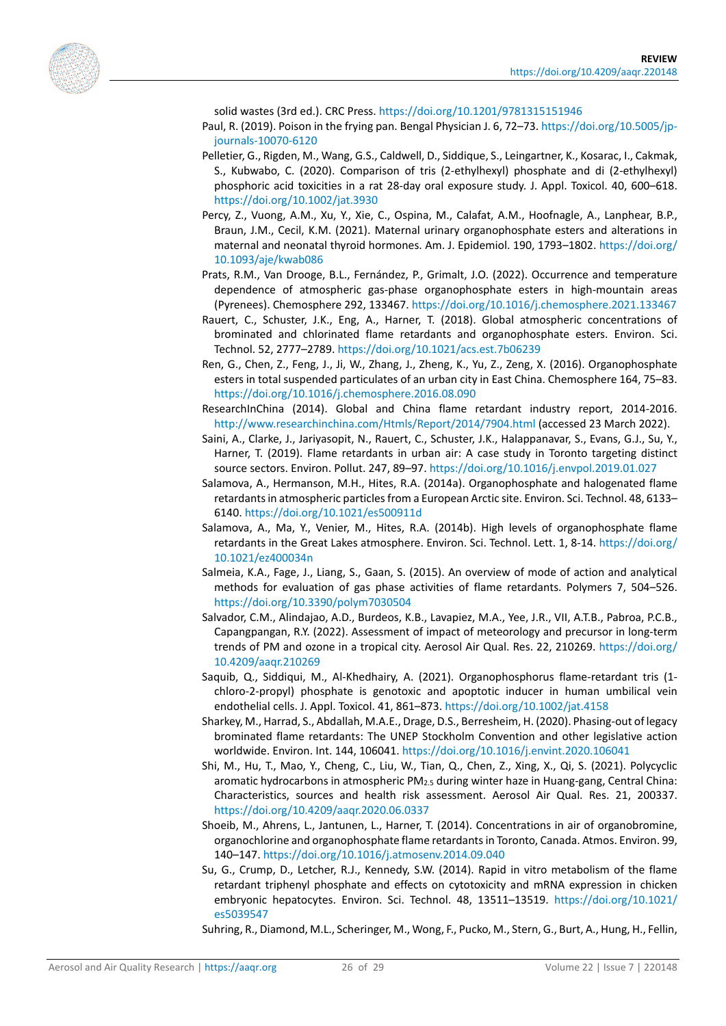<span id="page-25-6"></span><span id="page-25-5"></span>

solid wastes (3rd ed.). CRC Press.<https://doi.org/10.1201/9781315151946>

- Paul, R. (2019). Poison in the frying pan. Bengal Physician J. 6, 72–73. [https://doi.org/10.5005/jp](https://doi.org/10.5005/jp-journals-10070-6120)[journals-10070-6120](https://doi.org/10.5005/jp-journals-10070-6120)
- Pelletier, G., Rigden, M., Wang, G.S., Caldwell, D., Siddique, S., Leingartner, K., Kosarac, I., Cakmak, S., Kubwabo, C. (2020). Comparison of tris (2-ethylhexyl) phosphate and di (2-ethylhexyl) phosphoric acid toxicities in a rat 28-day oral exposure study. J. Appl. Toxicol. 40, 600–618. <https://doi.org/10.1002/jat.3930>
- <span id="page-25-8"></span>Percy, Z., Vuong, A.M., Xu, Y., Xie, C., Ospina, M., Calafat, A.M., Hoofnagle, A., Lanphear, B.P., Braun, J.M., Cecil, K.M. (2021). Maternal urinary organophosphate esters and alterations in maternal and neonatal thyroid hormones. Am. J. Epidemiol. 190, 1793–1802[. https://doi.org/](https://doi.org/10.1093/aje/kwab086) [10.1093/aje/kwab086](https://doi.org/10.1093/aje/kwab086)
- <span id="page-25-12"></span>Prats, R.M., Van Drooge, B.L., Fernández, P., Grimalt, J.O. (2022). Occurrence and temperature dependence of atmospheric gas-phase organophosphate esters in high-mountain areas (Pyrenees). Chemosphere 292, 133467[. https://doi.org/10.1016/j.chemosphere.2021.133467](https://doi.org/10.1016/j.chemosphere.2021.133467)
- <span id="page-25-10"></span>Rauert, C., Schuster, J.K., Eng, A., Harner, T. (2018). Global atmospheric concentrations of brominated and chlorinated flame retardants and organophosphate esters. Environ. Sci. Technol. 52, 2777–2789.<https://doi.org/10.1021/acs.est.7b06239>
- <span id="page-25-15"></span>Ren, G., Chen, Z., Feng, J., Ji, W., Zhang, J., Zheng, K., Yu, Z., Zeng, X. (2016). Organophosphate esters in total suspended particulates of an urban city in East China. Chemosphere 164, 75–83. <https://doi.org/10.1016/j.chemosphere.2016.08.090>
- <span id="page-25-3"></span>ResearchInChina (2014). Global and China flame retardant industry report, 2014-2016. <http://www.researchinchina.com/Htmls/Report/2014/7904.html> (accessed 23 March 2022).
- <span id="page-25-16"></span>Saini, A., Clarke, J., Jariyasopit, N., Rauert, C., Schuster, J.K., Halappanavar, S., Evans, G.J., Su, Y., Harner, T. (2019). Flame retardants in urban air: A case study in Toronto targeting distinct source sectors. Environ. Pollut. 247, 89–97[. https://doi.org/10.1016/j.envpol.2019.01.027](https://doi.org/10.1016/j.envpol.2019.01.027)
- <span id="page-25-13"></span>Salamova, A., Hermanson, M.H., Hites, R.A. (2014a). Organophosphate and halogenated flame retardants in atmospheric particles from a European Arctic site. Environ. Sci. Technol. 48, 6133– 6140.<https://doi.org/10.1021/es500911d>
- <span id="page-25-11"></span>Salamova, A., Ma, Y., Venier, M., Hites, R.A. (2014b). High levels of organophosphate flame retardants in the Great Lakes atmosphere. Environ. Sci. Technol. Lett. 1, 8-14[. https://doi.org/](https://doi.org/10.1021/ez400034n) [10.1021/ez400034n](https://doi.org/10.1021/ez400034n)
- <span id="page-25-0"></span>Salmeia, K.A., Fage, J., Liang, S., Gaan, S. (2015). An overview of mode of action and analytical methods for evaluation of gas phase activities of flame retardants. Polymers 7, 504–526. <https://doi.org/10.3390/polym7030504>
- <span id="page-25-17"></span>Salvador, C.M., Alindajao, A.D., Burdeos, K.B., Lavapiez, M.A., Yee, J.R., VII, A.T.B., Pabroa, P.C.B., Capangpangan, R.Y. (2022). Assessment of impact of meteorology and precursor in long-term trends of PM and ozone in a tropical city. Aerosol Air Qual. Res. 22, 210269. [https://doi.org/](https://doi.org/10.4209/aaqr.210269) [10.4209/aaqr.210269](https://doi.org/10.4209/aaqr.210269)
- <span id="page-25-7"></span>Saquib, Q., Siddiqui, M., Al-Khedhairy, A. (2021). Organophosphorus flame-retardant tris (1 chloro-2-propyl) phosphate is genotoxic and apoptotic inducer in human umbilical vein endothelial cells. J. Appl. Toxicol. 41, 861–873.<https://doi.org/10.1002/jat.4158>
- <span id="page-25-1"></span>Sharkey, M., Harrad, S., Abdallah, M.A.E., Drage, D.S., Berresheim, H. (2020). Phasing-out of legacy brominated flame retardants: The UNEP Stockholm Convention and other legislative action worldwide. Environ. Int. 144, 106041.<https://doi.org/10.1016/j.envint.2020.106041>
- <span id="page-25-2"></span>Shi, M., Hu, T., Mao, Y., Cheng, C., Liu, W., Tian, Q., Chen, Z., Xing, X., Qi, S. (2021). Polycyclic aromatic hydrocarbons in atmospheric PM2.5 during winter haze in Huang-gang, Central China: Characteristics, sources and health risk assessment. Aerosol Air Qual. Res. 21, 200337. <https://doi.org/10.4209/aaqr.2020.06.0337>
- <span id="page-25-14"></span>Shoeib, M., Ahrens, L., Jantunen, L., Harner, T. (2014). Concentrations in air of organobromine, organochlorine and organophosphate flame retardants in Toronto, Canada. Atmos. Environ. 99, 140–147.<https://doi.org/10.1016/j.atmosenv.2014.09.040>
- <span id="page-25-9"></span>Su, G., Crump, D., Letcher, R.J., Kennedy, S.W. (2014). Rapid in vitro metabolism of the flame retardant triphenyl phosphate and effects on cytotoxicity and mRNA expression in chicken embryonic hepatocytes. Environ. Sci. Technol. 48, 13511–13519. [https://doi.org/10.1021/](https://doi.org/10.1021/es5039547) [es5039547](https://doi.org/10.1021/es5039547)

<span id="page-25-4"></span>Suhring, R., Diamond, M.L., Scheringer, M., Wong, F., Pucko, M., Stern, G., Burt, A., Hung, H., Fellin,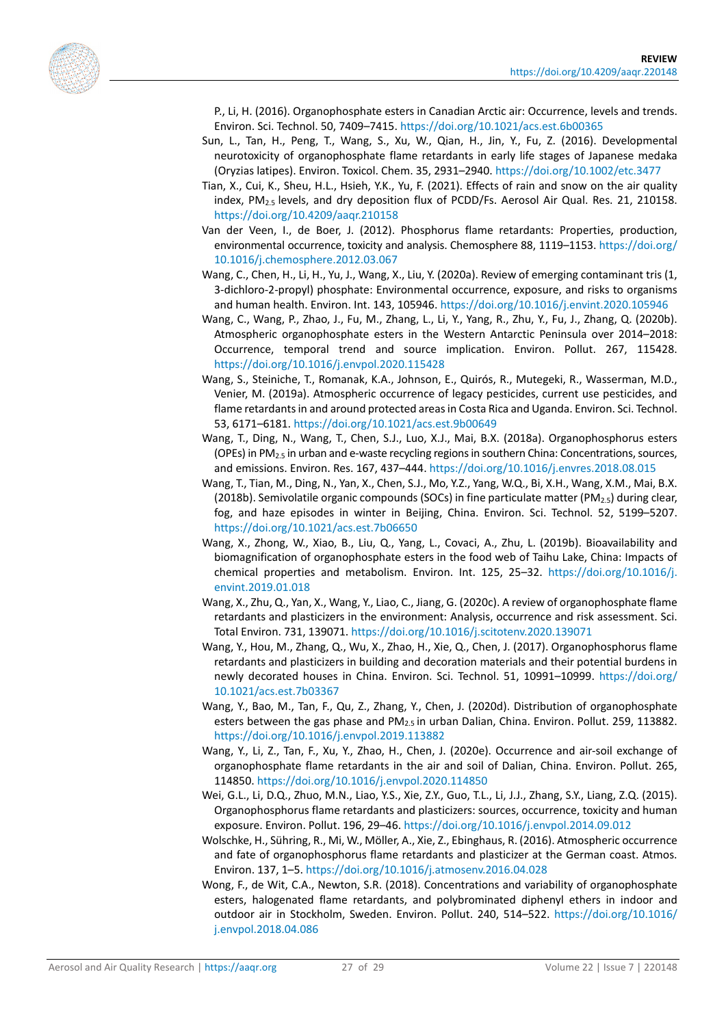<span id="page-26-13"></span><span id="page-26-6"></span><span id="page-26-3"></span>

P., Li, H. (2016). Organophosphate esters in Canadian Arctic air: Occurrence, levels and trends. Environ. Sci. Technol. 50, 7409–7415[. https://doi.org/10.1021/acs.est.6b00365](https://doi.org/10.1021/acs.est.6b00365)

- Sun, L., Tan, H., Peng, T., Wang, S., Xu, W., Qian, H., Jin, Y., Fu, Z. (2016). Developmental neurotoxicity of organophosphate flame retardants in early life stages of Japanese medaka (Oryzias latipes). Environ. Toxicol. Chem. 35, 2931–2940[. https://doi.org/10.1002/etc.3477](https://doi.org/10.1002/etc.3477)
- Tian, X., Cui, K., Sheu, H.L., Hsieh, Y.K., Yu, F. (2021). Effects of rain and snow on the air quality index, PM2.5 levels, and dry deposition flux of PCDD/Fs. Aerosol Air Qual. Res. 21, 210158. <https://doi.org/10.4209/aaqr.210158>
- <span id="page-26-1"></span>Van der Veen, I., de Boer, J. (2012). Phosphorus flame retardants: Properties, production, environmental occurrence, toxicity and analysis. Chemosphere 88, 1119–1153[. https://doi.org/](https://doi.org/10.1016/j.chemosphere.2012.03.067) [10.1016/j.chemosphere.2012.03.067](https://doi.org/10.1016/j.chemosphere.2012.03.067)
- <span id="page-26-5"></span>Wang, C., Chen, H., Li, H., Yu, J., Wang, X., Liu, Y. (2020a). Review of emerging contaminant tris (1, 3-dichloro-2-propyl) phosphate: Environmental occurrence, exposure, and risks to organisms and human health. Environ. Int. 143, 105946.<https://doi.org/10.1016/j.envint.2020.105946>
- <span id="page-26-11"></span>Wang, C., Wang, P., Zhao, J., Fu, M., Zhang, L., Li, Y., Yang, R., Zhu, Y., Fu, J., Zhang, Q. (2020b). Atmospheric organophosphate esters in the Western Antarctic Peninsula over 2014–2018: Occurrence, temporal trend and source implication. Environ. Pollut. 267, 115428. <https://doi.org/10.1016/j.envpol.2020.115428>
- Wang, S., Steiniche, T., Romanak, K.A., Johnson, E., Quirós, R., Mutegeki, R., Wasserman, M.D., Venier, M. (2019a). Atmospheric occurrence of legacy pesticides, current use pesticides, and flame retardants in and around protected areas in Costa Rica and Uganda. Environ. Sci. Technol. 53, 6171–6181.<https://doi.org/10.1021/acs.est.9b00649>
- <span id="page-26-10"></span>Wang, T., Ding, N., Wang, T., Chen, S.J., Luo, X.J., Mai, B.X. (2018a). Organophosphorus esters (OPEs) in PM<sub>2.5</sub> in urban and e-waste recycling regions in southern China: Concentrations, sources, and emissions. Environ. Res. 167, 437–444[. https://doi.org/10.1016/j.envres.2018.08.015](https://doi.org/10.1016/j.envres.2018.08.015)
- Wang, T., Tian, M., Ding, N., Yan, X., Chen, S.J., Mo, Y.Z., Yang, W.Q., Bi, X.H., Wang, X.M., Mai, B.X. (2018b). Semivolatile organic compounds (SOCs) in fine particulate matter (PM<sub>2.5</sub>) during clear, fog, and haze episodes in winter in Beijing, China. Environ. Sci. Technol. 52, 5199–5207. <https://doi.org/10.1021/acs.est.7b06650>
- <span id="page-26-4"></span>Wang, X., Zhong, W., Xiao, B., Liu, Q., Yang, L., Covaci, A., Zhu, L. (2019b). Bioavailability and biomagnification of organophosphate esters in the food web of Taihu Lake, China: Impacts of chemical properties and metabolism. Environ. Int. 125, 25–32. [https://doi.org/10.1016/j.](https://doi.org/10.1016/j.envint.2019.01.018) [envint.2019.01.018](https://doi.org/10.1016/j.envint.2019.01.018)
- <span id="page-26-0"></span>Wang, X., Zhu, Q., Yan, X., Wang, Y., Liao, C., Jiang, G. (2020c). A review of organophosphate flame retardants and plasticizers in the environment: Analysis, occurrence and risk assessment. Sci. Total Environ. 731, 139071.<https://doi.org/10.1016/j.scitotenv.2020.139071>
- <span id="page-26-2"></span>Wang, Y., Hou, M., Zhang, Q., Wu, X., Zhao, H., Xie, Q., Chen, J. (2017). Organophosphorus flame retardants and plasticizers in building and decoration materials and their potential burdens in newly decorated houses in China. Environ. Sci. Technol. 51, 10991–10999. [https://doi.org/](https://doi.org/10.1021/acs.est.7b03367) [10.1021/acs.est.7b03367](https://doi.org/10.1021/acs.est.7b03367)
- <span id="page-26-12"></span>Wang, Y., Bao, M., Tan, F., Qu, Z., Zhang, Y., Chen, J. (2020d). Distribution of organophosphate esters between the gas phase and  $PM_{2.5}$  in urban Dalian, China. Environ. Pollut. 259, 113882. <https://doi.org/10.1016/j.envpol.2019.113882>
- <span id="page-26-8"></span>Wang, Y., Li, Z., Tan, F., Xu, Y., Zhao, H., Chen, J. (2020e). Occurrence and air-soil exchange of organophosphate flame retardants in the air and soil of Dalian, China. Environ. Pollut. 265, 114850.<https://doi.org/10.1016/j.envpol.2020.114850>
- <span id="page-26-7"></span>Wei, G.L., Li, D.Q., Zhuo, M.N., Liao, Y.S., Xie, Z.Y., Guo, T.L., Li, J.J., Zhang, S.Y., Liang, Z.Q. (2015). Organophosphorus flame retardants and plasticizers: sources, occurrence, toxicity and human exposure. Environ. Pollut. 196, 29–46[. https://doi.org/10.1016/j.envpol.2014.09.012](https://doi.org/10.1016/j.envpol.2014.09.012)
- <span id="page-26-9"></span>Wolschke, H., Sühring, R., Mi, W., Möller, A., Xie, Z., Ebinghaus, R. (2016). Atmospheric occurrence and fate of organophosphorus flame retardants and plasticizer at the German coast. Atmos. Environ. 137, 1–5.<https://doi.org/10.1016/j.atmosenv.2016.04.028>
- Wong, F., de Wit, C.A., Newton, S.R. (2018). Concentrations and variability of organophosphate esters, halogenated flame retardants, and polybrominated diphenyl ethers in indoor and outdoor air in Stockholm, Sweden. Environ. Pollut. 240, 514–522. [https://doi.org/10.1016/](https://doi.org/10.1016/j.envpol.2018.04.086) [j.envpol.2018.04.086](https://doi.org/10.1016/j.envpol.2018.04.086)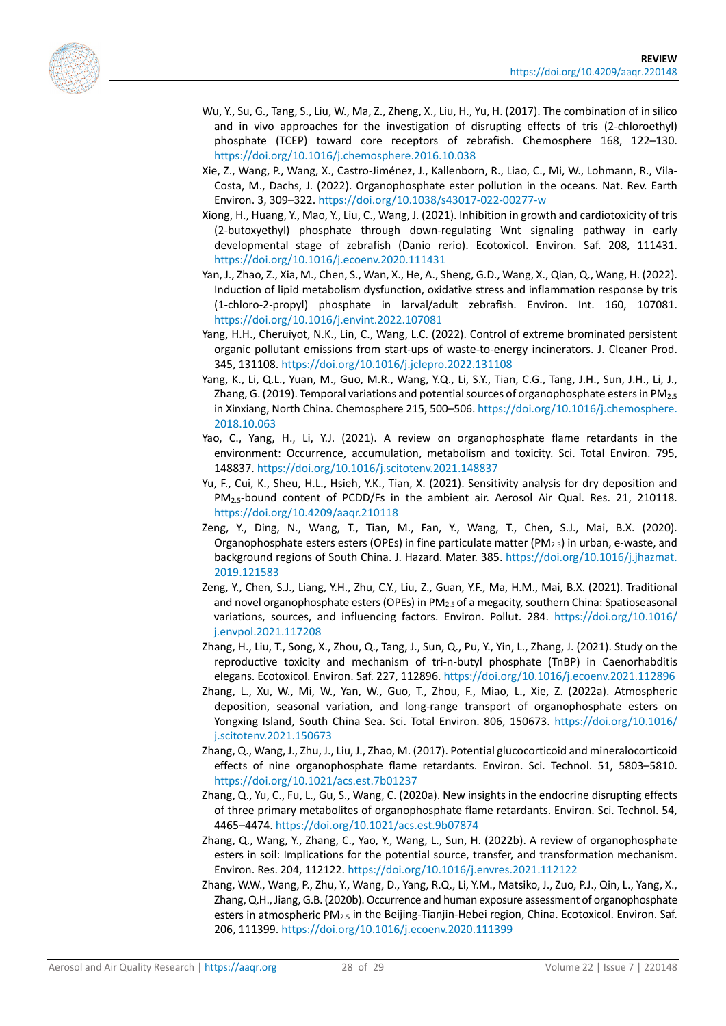<span id="page-27-10"></span><span id="page-27-7"></span><span id="page-27-2"></span>

- Wu, Y., Su, G., Tang, S., Liu, W., Ma, Z., Zheng, X., Liu, H., Yu, H. (2017). The combination of in silico and in vivo approaches for the investigation of disrupting effects of tris (2-chloroethyl) phosphate (TCEP) toward core receptors of zebrafish. Chemosphere 168, 122–130. <https://doi.org/10.1016/j.chemosphere.2016.10.038>
- Xie, Z., Wang, P., Wang, X., Castro-Jiménez, J., Kallenborn, R., Liao, C., Mi, W., Lohmann, R., Vila-Costa, M., Dachs, J. (2022). Organophosphate ester pollution in the oceans. Nat. Rev. Earth Environ. 3, 309–322. <https://doi.org/10.1038/s43017-022-00277-w>
- <span id="page-27-6"></span>Xiong, H., Huang, Y., Mao, Y., Liu, C., Wang, J. (2021). Inhibition in growth and cardiotoxicity of tris (2-butoxyethyl) phosphate through down-regulating Wnt signaling pathway in early developmental stage of zebrafish (Danio rerio). Ecotoxicol. Environ. Saf. 208, 111431. <https://doi.org/10.1016/j.ecoenv.2020.111431>
- <span id="page-27-8"></span>Yan, J., Zhao, Z., Xia, M., Chen, S., Wan, X., He, A., Sheng, G.D., Wang, X., Qian, Q., Wang, H. (2022). Induction of lipid metabolism dysfunction, oxidative stress and inflammation response by tris (1-chloro-2-propyl) phosphate in larval/adult zebrafish. Environ. Int. 160, 107081. <https://doi.org/10.1016/j.envint.2022.107081>
- <span id="page-27-0"></span>Yang, H.H., Cheruiyot, N.K., Lin, C., Wang, L.C. (2022). Control of extreme brominated persistent organic pollutant emissions from start-ups of waste-to-energy incinerators. J. Cleaner Prod. 345, 131108.<https://doi.org/10.1016/j.jclepro.2022.131108>
- Yang, K., Li, Q.L., Yuan, M., Guo, M.R., Wang, Y.Q., Li, S.Y., Tian, C.G., Tang, J.H., Sun, J.H., Li, J., Zhang, G. (2019). Temporal variations and potential sources of organophosphate esters in PM<sub>2.5</sub> in Xinxiang, North China. Chemosphere 215, 500–506. [https://doi.org/10.1016/j.chemosphere.](https://doi.org/10.1016/j.chemosphere.2018.10.063) [2018.10.063](https://doi.org/10.1016/j.chemosphere.2018.10.063)
- <span id="page-27-3"></span>Yao, C., Yang, H., Li, Y.J. (2021). A review on organophosphate flame retardants in the environment: Occurrence, accumulation, metabolism and toxicity. Sci. Total Environ. 795, 148837.<https://doi.org/10.1016/j.scitotenv.2021.148837>
- <span id="page-27-15"></span>Yu, F., Cui, K., Sheu, H.L., Hsieh, Y.K., Tian, X. (2021). Sensitivity analysis for dry deposition and PM2.5-bound content of PCDD/Fs in the ambient air. Aerosol Air Qual. Res. 21, 210118. <https://doi.org/10.4209/aaqr.210118>
- <span id="page-27-11"></span>Zeng, Y., Ding, N., Wang, T., Tian, M., Fan, Y., Wang, T., Chen, S.J., Mai, B.X. (2020). Organophosphate esters esters (OPEs) in fine particulate matter (PM $_{2.5}$ ) in urban, e-waste, and background regions of South China. J. Hazard. Mater. 385. [https://doi.org/10.1016/j.jhazmat.](https://doi.org/10.1016/j.jhazmat.2019.121583) [2019.121583](https://doi.org/10.1016/j.jhazmat.2019.121583)
- <span id="page-27-12"></span>Zeng, Y., Chen, S.J., Liang, Y.H., Zhu, C.Y., Liu, Z., Guan, Y.F., Ma, H.M., Mai, B.X. (2021). Traditional and novel organophosphate esters (OPEs) in PM2.5 of a megacity, southern China: Spatioseasonal variations, sources, and influencing factors. Environ. Pollut. 284. [https://doi.org/10.1016/](https://doi.org/10.1016/j.envpol.2021.117208) [j.envpol.2021.117208](https://doi.org/10.1016/j.envpol.2021.117208)
- <span id="page-27-5"></span>Zhang, H., Liu, T., Song, X., Zhou, Q., Tang, J., Sun, Q., Pu, Y., Yin, L., Zhang, J. (2021). Study on the reproductive toxicity and mechanism of tri-n-butyl phosphate (TnBP) in Caenorhabditis elegans. Ecotoxicol. Environ. Saf. 227, 112896.<https://doi.org/10.1016/j.ecoenv.2021.112896>
- <span id="page-27-14"></span>Zhang, L., Xu, W., Mi, W., Yan, W., Guo, T., Zhou, F., Miao, L., Xie, Z. (2022a). Atmospheric deposition, seasonal variation, and long-range transport of organophosphate esters on Yongxing Island, South China Sea. Sci. Total Environ. 806, 150673. [https://doi.org/10.1016/](https://doi.org/10.1016/j.scitotenv.2021.150673) [j.scitotenv.2021.150673](https://doi.org/10.1016/j.scitotenv.2021.150673)
- <span id="page-27-4"></span>Zhang, Q., Wang, J., Zhu, J., Liu, J., Zhao, M. (2017). Potential glucocorticoid and mineralocorticoid effects of nine organophosphate flame retardants. Environ. Sci. Technol. 51, 5803–5810. <https://doi.org/10.1021/acs.est.7b01237>
- <span id="page-27-9"></span>Zhang, Q., Yu, C., Fu, L., Gu, S., Wang, C. (2020a). New insights in the endocrine disrupting effects of three primary metabolites of organophosphate flame retardants. Environ. Sci. Technol. 54, 4465–4474.<https://doi.org/10.1021/acs.est.9b07874>
- <span id="page-27-1"></span>Zhang, Q., Wang, Y., Zhang, C., Yao, Y., Wang, L., Sun, H. (2022b). A review of organophosphate esters in soil: Implications for the potential source, transfer, and transformation mechanism. Environ. Res. 204, 112122[. https://doi.org/10.1016/j.envres.2021.112122](https://doi.org/10.1016/j.envres.2021.112122)
- <span id="page-27-13"></span>Zhang, W.W., Wang, P., Zhu, Y., Wang, D., Yang, R.Q., Li, Y.M., Matsiko, J., Zuo, P.J., Qin, L., Yang, X., Zhang, Q.H., Jiang, G.B. (2020b). Occurrence and human exposure assessment of organophosphate esters in atmospheric PM<sub>2.5</sub> in the Beijing-Tianjin-Hebei region, China. Ecotoxicol. Environ. Saf. 206, 111399.<https://doi.org/10.1016/j.ecoenv.2020.111399>